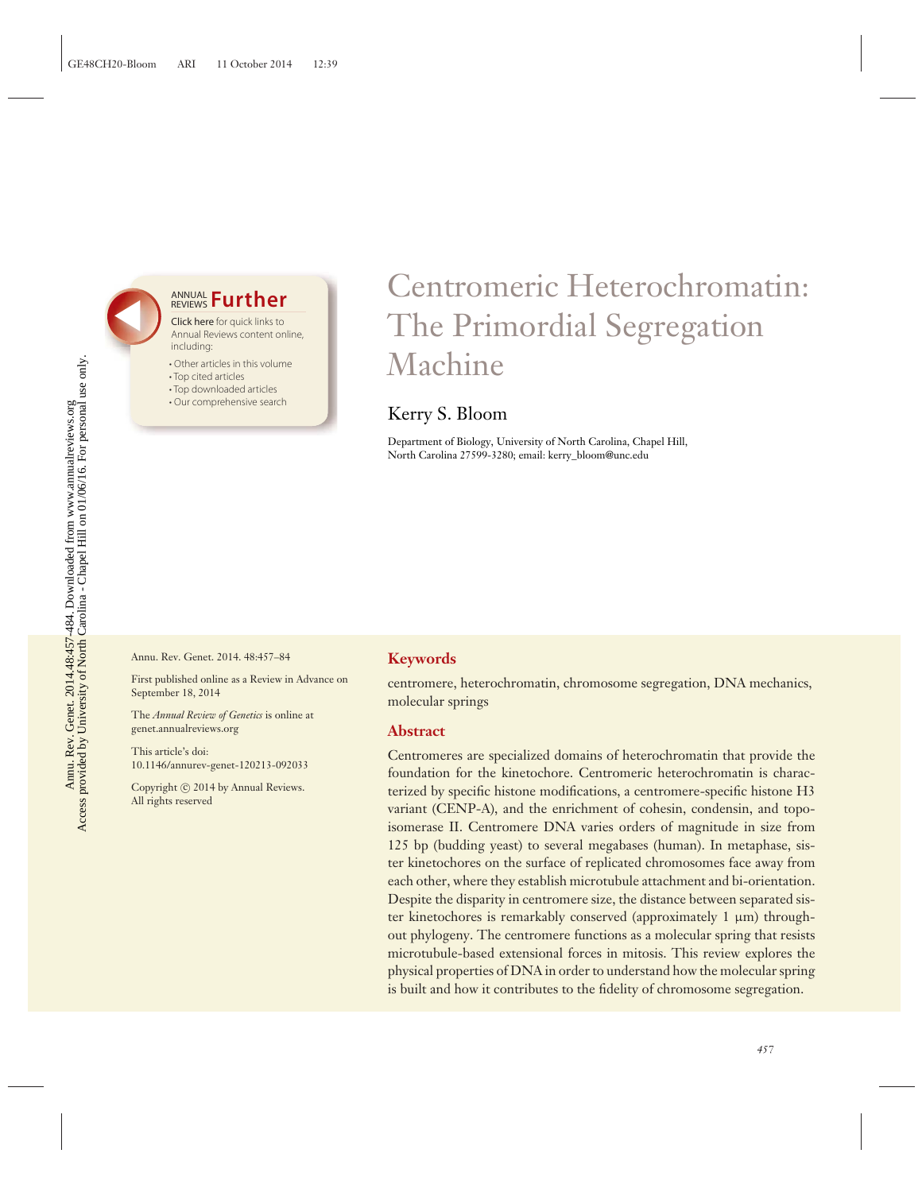# **ANNUAL Further**

Click here for quick links to Annual Reviews content online, including:

- Other articles in this volume
- Top cited articles
- Top downloaded articles
- Our comprehensive search

# Centromeric Heterochromatin: The Primordial Segregation Machine

# Kerry S. Bloom

Department of Biology, University of North Carolina, Chapel Hill, North Carolina 27599-3280; email: kerry\_bloom@unc.edu

Annu. Rev. Genet. 2014. 48:457–84

First published online as a Review in Advance on September 18, 2014

The *Annual Review of Genetics* is online at genet.annualreviews.org

This article's doi: 10.1146/annurev-genet-120213-092033

Copyright © 2014 by Annual Reviews. All rights reserved

# **Keywords**

centromere, heterochromatin, chromosome segregation, DNA mechanics, molecular springs

#### **Abstract**

Centromeres are specialized domains of heterochromatin that provide the foundation for the kinetochore. Centromeric heterochromatin is characterized by specific histone modifications, a centromere-specific histone H3 variant (CENP-A), and the enrichment of cohesin, condensin, and topoisomerase II. Centromere DNA varies orders of magnitude in size from 125 bp (budding yeast) to several megabases (human). In metaphase, sister kinetochores on the surface of replicated chromosomes face away from each other, where they establish microtubule attachment and bi-orientation. Despite the disparity in centromere size, the distance between separated sister kinetochores is remarkably conserved (approximately 1 μm) throughout phylogeny. The centromere functions as a molecular spring that resists microtubule-based extensional forces in mitosis. This review explores the physical properties of DNA in order to understand how the molecular spring is built and how it contributes to the fidelity of chromosome segregation.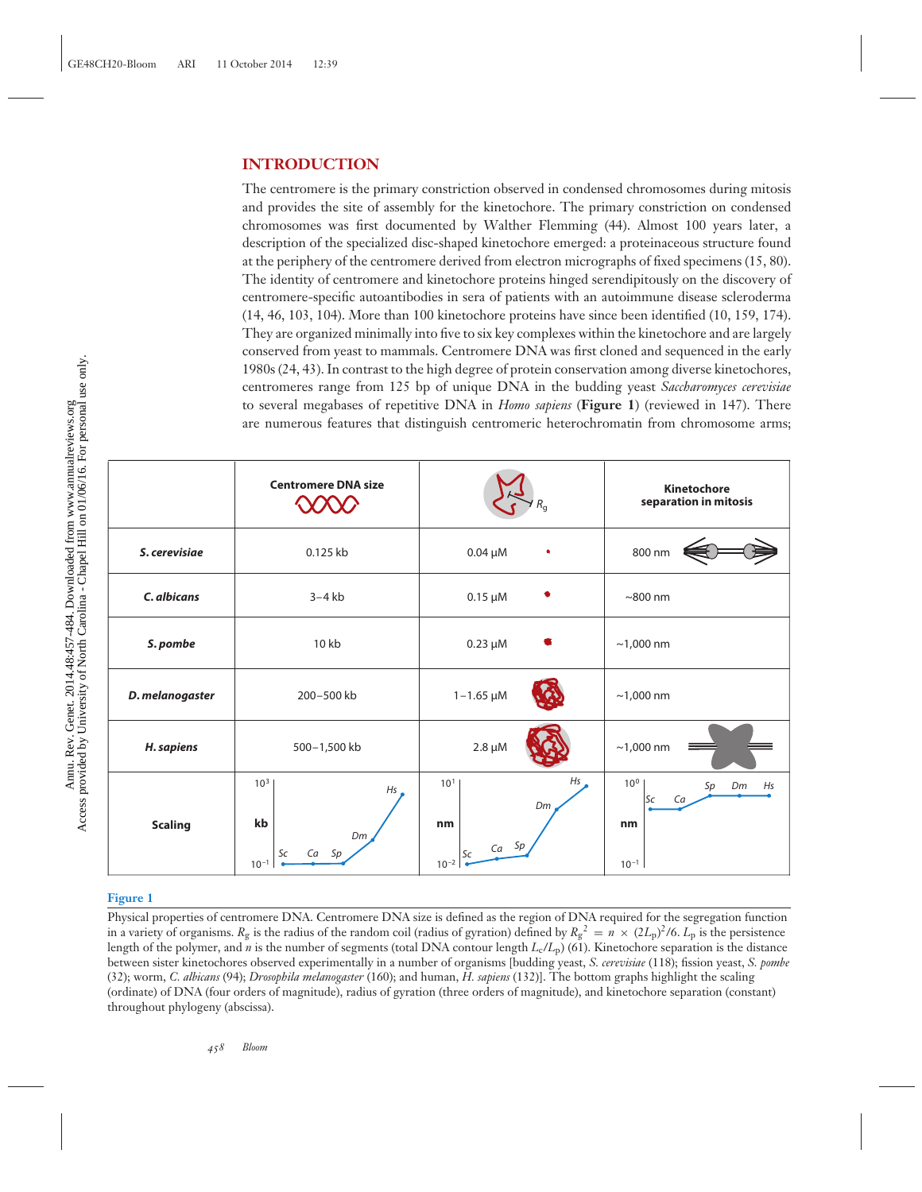# **INTRODUCTION**

The centromere is the primary constriction observed in condensed chromosomes during mitosis and provides the site of assembly for the kinetochore. The primary constriction on condensed chromosomes was first documented by Walther Flemming (44). Almost 100 years later, a description of the specialized disc-shaped kinetochore emerged: a proteinaceous structure found at the periphery of the centromere derived from electron micrographs of fixed specimens (15, 80). The identity of centromere and kinetochore proteins hinged serendipitously on the discovery of centromere-specific autoantibodies in sera of patients with an autoimmune disease scleroderma (14, 46, 103, 104). More than 100 kinetochore proteins have since been identified (10, 159, 174). They are organized minimally into five to six key complexes within the kinetochore and are largely conserved from yeast to mammals. Centromere DNA was first cloned and sequenced in the early 1980s (24, 43). In contrast to the high degree of protein conservation among diverse kinetochores, centromeres range from 125 bp of unique DNA in the budding yeast *Saccharomyces cerevisiae* to several megabases of repetitive DNA in *Homo sapiens* (**Figure 1**) (reviewed in 147). There are numerous features that distinguish centromeric heterochromatin from chromosome arms;

|                 | <b>Centromere DNA size</b>                                      |                                                                     | Kinetochore<br>separation in mitosis                             |
|-----------------|-----------------------------------------------------------------|---------------------------------------------------------------------|------------------------------------------------------------------|
| S. cerevisiae   | 0.125 kb                                                        | $0.04 \mu M$                                                        | 800 nm                                                           |
| C. albicans     | $3-4$ kb                                                        | $0.15 \mu M$                                                        | $\sim$ 800 nm                                                    |
| S.pombe         | 10 kb                                                           | $0.23 \mu M$                                                        | $~1,000$ nm                                                      |
| D. melanogaster | 200-500 kb                                                      | $1 - 1.65 \mu M$                                                    | $~1,000$ nm                                                      |
| H. sapiens      | 500-1,500 kb                                                    | $2.8 \mu M$                                                         | $~1,000$ nm                                                      |
| <b>Scaling</b>  | 10 <sup>3</sup><br>Hs<br>kb<br>Dm<br>$Ca$ Sp<br>Sc<br>$10^{-1}$ | Hs<br>10 <sup>1</sup><br>Dm<br>nm<br>$S_c$ $Ca$ $Sp$ ,<br>$10^{-2}$ | 10 <sup>0</sup><br>Hs<br>Dm<br>Sp<br>Sc<br>Ca<br>nm<br>$10^{-1}$ |

#### **Figure 1**

Physical properties of centromere DNA. Centromere DNA size is defined as the region of DNA required for the segregation function in a variety of organisms.  $R_g$  is the radius of the random coil (radius of gyration) defined by  $R_g^2 = n \times (2L_p)^2/6$ .  $L_p$  is the persistence length of the polymer, and *n* is the number of segments (total DNA contour length *L*c/*L*p) (61). Kinetochore separation is the distance between sister kinetochores observed experimentally in a number of organisms [budding yeast, *S. cerevisiae* (118); fission yeast, *S. pombe* (32); worm, *C. albicans* (94); *Drosophila melanogaster* (160); and human, *H. sapiens* (132)]. The bottom graphs highlight the scaling (ordinate) of DNA (four orders of magnitude), radius of gyration (three orders of magnitude), and kinetochore separation (constant) throughout phylogeny (abscissa).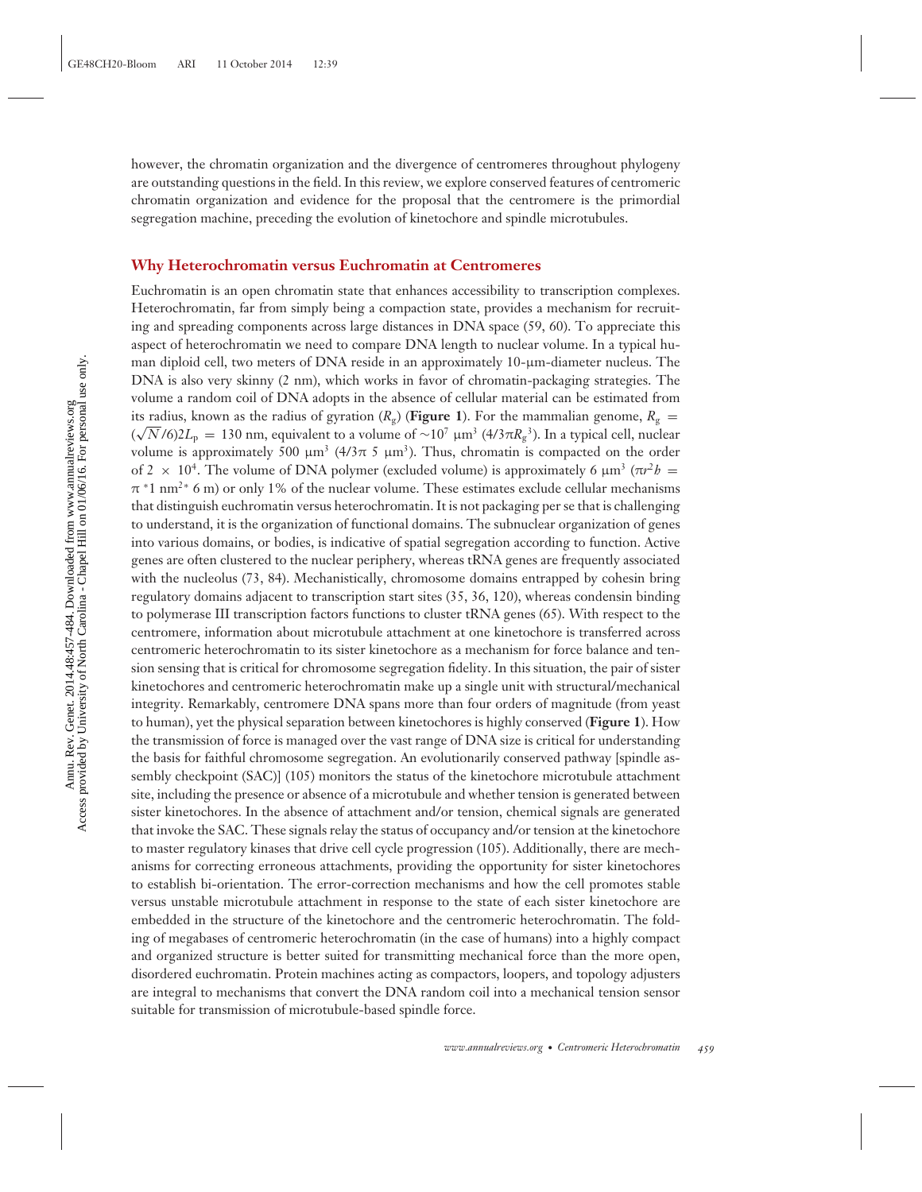however, the chromatin organization and the divergence of centromeres throughout phylogeny are outstanding questions in the field. In this review, we explore conserved features of centromeric chromatin organization and evidence for the proposal that the centromere is the primordial segregation machine, preceding the evolution of kinetochore and spindle microtubules.

#### **Why Heterochromatin versus Euchromatin at Centromeres**

Euchromatin is an open chromatin state that enhances accessibility to transcription complexes. Heterochromatin, far from simply being a compaction state, provides a mechanism for recruiting and spreading components across large distances in DNA space (59, 60). To appreciate this aspect of heterochromatin we need to compare DNA length to nuclear volume. In a typical human diploid cell, two meters of DNA reside in an approximately 10-μm-diameter nucleus. The DNA is also very skinny (2 nm), which works in favor of chromatin-packaging strategies. The volume a random coil of DNA adopts in the absence of cellular material can be estimated from its radius, known as the radius of gyration  $(R_g)$  (**Figure 1**). For the mammalian genome,  $R_g$  =  $(\sqrt{N}/6)$ 2*L*<sub>p</sub> = 130 nm, equivalent to a volume of ~10<sup>7</sup> μm<sup>3</sup> (4/3π*R*<sub>g</sub><sup>3</sup>). In a typical cell, nuclear volume is approximately 500 μm<sup>3</sup> (4/3π 5 μm<sup>3</sup>). Thus, chromatin is compacted on the order of 2  $\times$  10<sup>4</sup>. The volume of DNA polymer (excluded volume) is approximately 6  $\mu$ m<sup>3</sup> ( $\pi r^2 h$  =  $\pi$  \*1 nm<sup>2</sup> \* 6 m) or only 1% of the nuclear volume. These estimates exclude cellular mechanisms that distinguish euchromatin versus heterochromatin. It is not packaging per se that is challenging to understand, it is the organization of functional domains. The subnuclear organization of genes into various domains, or bodies, is indicative of spatial segregation according to function. Active genes are often clustered to the nuclear periphery, whereas tRNA genes are frequently associated with the nucleolus (73, 84). Mechanistically, chromosome domains entrapped by cohesin bring regulatory domains adjacent to transcription start sites (35, 36, 120), whereas condensin binding to polymerase III transcription factors functions to cluster tRNA genes (65). With respect to the centromere, information about microtubule attachment at one kinetochore is transferred across centromeric heterochromatin to its sister kinetochore as a mechanism for force balance and tension sensing that is critical for chromosome segregation fidelity. In this situation, the pair of sister kinetochores and centromeric heterochromatin make up a single unit with structural/mechanical integrity. Remarkably, centromere DNA spans more than four orders of magnitude (from yeast to human), yet the physical separation between kinetochores is highly conserved (**Figure 1**). How the transmission of force is managed over the vast range of DNA size is critical for understanding the basis for faithful chromosome segregation. An evolutionarily conserved pathway [spindle assembly checkpoint (SAC)] (105) monitors the status of the kinetochore microtubule attachment site, including the presence or absence of a microtubule and whether tension is generated between sister kinetochores. In the absence of attachment and/or tension, chemical signals are generated that invoke the SAC. These signals relay the status of occupancy and/or tension at the kinetochore to master regulatory kinases that drive cell cycle progression (105). Additionally, there are mechanisms for correcting erroneous attachments, providing the opportunity for sister kinetochores to establish bi-orientation. The error-correction mechanisms and how the cell promotes stable versus unstable microtubule attachment in response to the state of each sister kinetochore are embedded in the structure of the kinetochore and the centromeric heterochromatin. The folding of megabases of centromeric heterochromatin (in the case of humans) into a highly compact and organized structure is better suited for transmitting mechanical force than the more open, disordered euchromatin. Protein machines acting as compactors, loopers, and topology adjusters are integral to mechanisms that convert the DNA random coil into a mechanical tension sensor suitable for transmission of microtubule-based spindle force.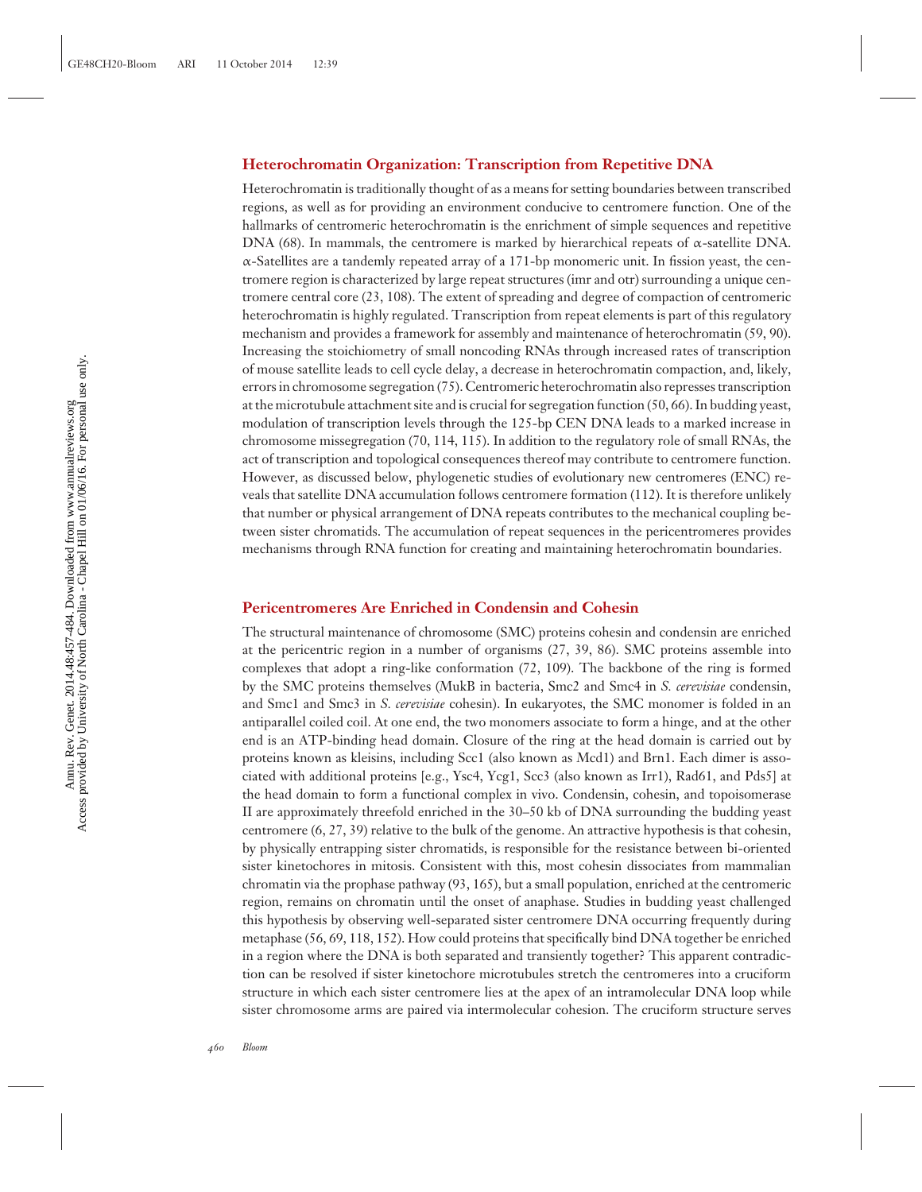### **Heterochromatin Organization: Transcription from Repetitive DNA**

Heterochromatin is traditionally thought of as a means for setting boundaries between transcribed regions, as well as for providing an environment conducive to centromere function. One of the hallmarks of centromeric heterochromatin is the enrichment of simple sequences and repetitive DNA (68). In mammals, the centromere is marked by hierarchical repeats of  $\alpha$ -satellite DNA. α-Satellites are a tandemly repeated array of a 171-bp monomeric unit. In fission yeast, the centromere region is characterized by large repeat structures (imr and otr) surrounding a unique centromere central core (23, 108). The extent of spreading and degree of compaction of centromeric heterochromatin is highly regulated. Transcription from repeat elements is part of this regulatory mechanism and provides a framework for assembly and maintenance of heterochromatin (59, 90). Increasing the stoichiometry of small noncoding RNAs through increased rates of transcription of mouse satellite leads to cell cycle delay, a decrease in heterochromatin compaction, and, likely, errors in chromosome segregation (75). Centromeric heterochromatin also represses transcription at the microtubule attachment site and is crucial for segregation function (50, 66). In budding yeast, modulation of transcription levels through the 125-bp CEN DNA leads to a marked increase in chromosome missegregation (70, 114, 115). In addition to the regulatory role of small RNAs, the act of transcription and topological consequences thereof may contribute to centromere function. However, as discussed below, phylogenetic studies of evolutionary new centromeres (ENC) reveals that satellite DNA accumulation follows centromere formation (112). It is therefore unlikely that number or physical arrangement of DNA repeats contributes to the mechanical coupling between sister chromatids. The accumulation of repeat sequences in the pericentromeres provides mechanisms through RNA function for creating and maintaining heterochromatin boundaries.

# **Pericentromeres Are Enriched in Condensin and Cohesin**

The structural maintenance of chromosome (SMC) proteins cohesin and condensin are enriched at the pericentric region in a number of organisms (27, 39, 86). SMC proteins assemble into complexes that adopt a ring-like conformation (72, 109). The backbone of the ring is formed by the SMC proteins themselves (MukB in bacteria, Smc2 and Smc4 in *S. cerevisiae* condensin, and Smc1 and Smc3 in *S. cerevisiae* cohesin). In eukaryotes, the SMC monomer is folded in an antiparallel coiled coil. At one end, the two monomers associate to form a hinge, and at the other end is an ATP-binding head domain. Closure of the ring at the head domain is carried out by proteins known as kleisins, including Scc1 (also known as Mcd1) and Brn1. Each dimer is associated with additional proteins [e.g., Ysc4, Ycg1, Scc3 (also known as Irr1), Rad61, and Pds5] at the head domain to form a functional complex in vivo. Condensin, cohesin, and topoisomerase II are approximately threefold enriched in the 30–50 kb of DNA surrounding the budding yeast centromere (6, 27, 39) relative to the bulk of the genome. An attractive hypothesis is that cohesin, by physically entrapping sister chromatids, is responsible for the resistance between bi-oriented sister kinetochores in mitosis. Consistent with this, most cohesin dissociates from mammalian chromatin via the prophase pathway (93, 165), but a small population, enriched at the centromeric region, remains on chromatin until the onset of anaphase. Studies in budding yeast challenged this hypothesis by observing well-separated sister centromere DNA occurring frequently during metaphase (56, 69, 118, 152). How could proteins that specifically bind DNA together be enriched in a region where the DNA is both separated and transiently together? This apparent contradiction can be resolved if sister kinetochore microtubules stretch the centromeres into a cruciform structure in which each sister centromere lies at the apex of an intramolecular DNA loop while sister chromosome arms are paired via intermolecular cohesion. The cruciform structure serves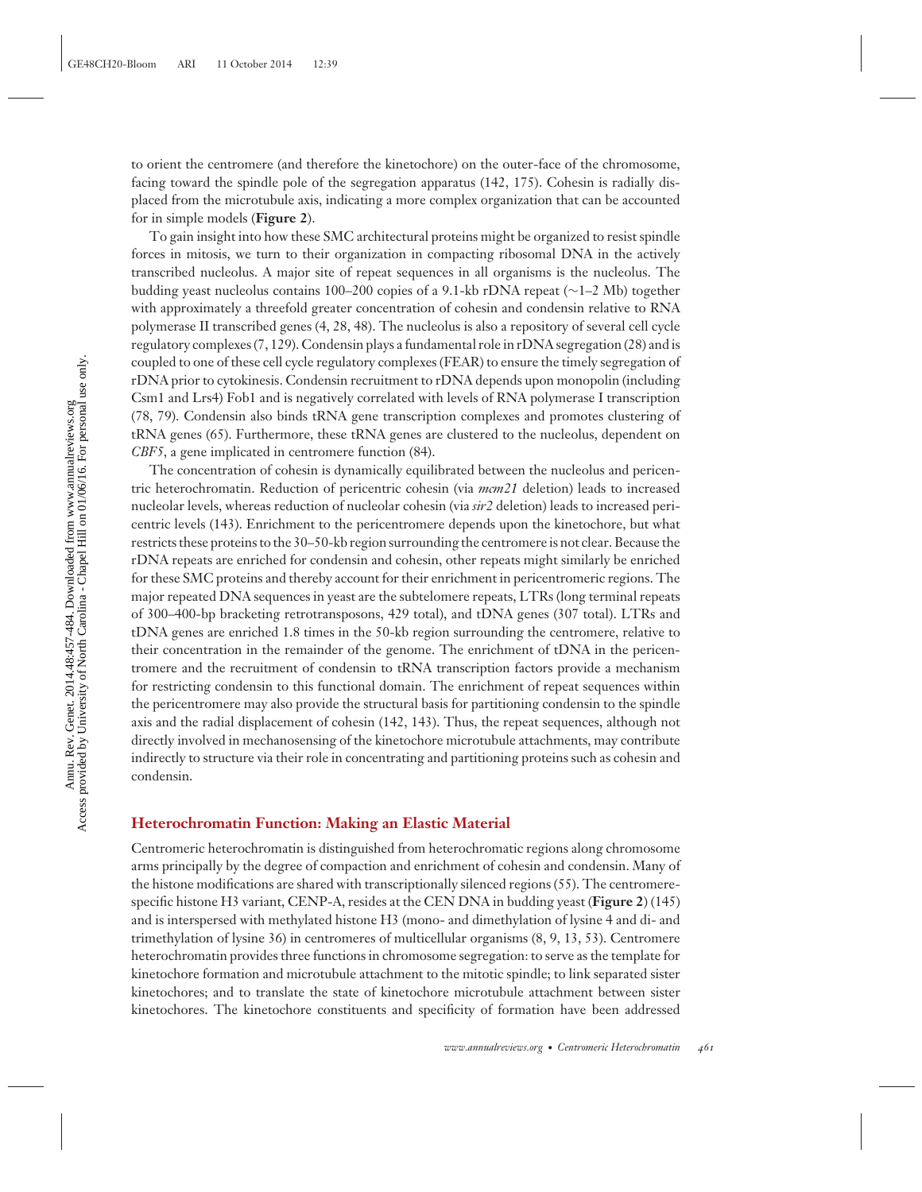to orient the centromere (and therefore the kinetochore) on the outer-face of the chromosome, facing toward the spindle pole of the segregation apparatus (142, 175). Cohesin is radially displaced from the microtubule axis, indicating a more complex organization that can be accounted for in simple models (**Figure 2**).

To gain insight into how these SMC architectural proteins might be organized to resist spindle forces in mitosis, we turn to their organization in compacting ribosomal DNA in the actively transcribed nucleolus. A major site of repeat sequences in all organisms is the nucleolus. The budding yeast nucleolus contains 100–200 copies of a 9.1-kb rDNA repeat (∼1–2 Mb) together with approximately a threefold greater concentration of cohesin and condensin relative to RNA polymerase II transcribed genes (4, 28, 48). The nucleolus is also a repository of several cell cycle regulatory complexes (7, 129). Condensin plays a fundamental role in rDNA segregation (28) and is coupled to one of these cell cycle regulatory complexes (FEAR) to ensure the timely segregation of rDNA prior to cytokinesis. Condensin recruitment to rDNA depends upon monopolin (including Csm1 and Lrs4) Fob1 and is negatively correlated with levels of RNA polymerase I transcription (78, 79). Condensin also binds tRNA gene transcription complexes and promotes clustering of tRNA genes (65). Furthermore, these tRNA genes are clustered to the nucleolus, dependent on *CBF5*, a gene implicated in centromere function (84).

The concentration of cohesin is dynamically equilibrated between the nucleolus and pericentric heterochromatin. Reduction of pericentric cohesin (via *mcm21* deletion) leads to increased nucleolar levels, whereas reduction of nucleolar cohesin (via *sir2* deletion) leads to increased pericentric levels (143). Enrichment to the pericentromere depends upon the kinetochore, but what restricts these proteins to the 30–50-kb region surrounding the centromere is not clear. Because the rDNA repeats are enriched for condensin and cohesin, other repeats might similarly be enriched for these SMC proteins and thereby account for their enrichment in pericentromeric regions. The major repeated DNA sequences in yeast are the subtelomere repeats, LTRs (long terminal repeats of 300–400-bp bracketing retrotransposons, 429 total), and tDNA genes (307 total). LTRs and tDNA genes are enriched 1.8 times in the 50-kb region surrounding the centromere, relative to their concentration in the remainder of the genome. The enrichment of tDNA in the pericentromere and the recruitment of condensin to tRNA transcription factors provide a mechanism for restricting condensin to this functional domain. The enrichment of repeat sequences within the pericentromere may also provide the structural basis for partitioning condensin to the spindle axis and the radial displacement of cohesin (142, 143). Thus, the repeat sequences, although not directly involved in mechanosensing of the kinetochore microtubule attachments, may contribute indirectly to structure via their role in concentrating and partitioning proteins such as cohesin and condensin.

#### **Heterochromatin Function: Making an Elastic Material**

Centromeric heterochromatin is distinguished from heterochromatic regions along chromosome arms principally by the degree of compaction and enrichment of cohesin and condensin. Many of the histone modifications are shared with transcriptionally silenced regions (55). The centromerespecific histone H3 variant, CENP-A, resides at the CEN DNA in budding yeast (**Figure 2**) (145) and is interspersed with methylated histone H3 (mono- and dimethylation of lysine 4 and di- and trimethylation of lysine 36) in centromeres of multicellular organisms (8, 9, 13, 53). Centromere heterochromatin provides three functions in chromosome segregation: to serve as the template for kinetochore formation and microtubule attachment to the mitotic spindle; to link separated sister kinetochores; and to translate the state of kinetochore microtubule attachment between sister kinetochores. The kinetochore constituents and specificity of formation have been addressed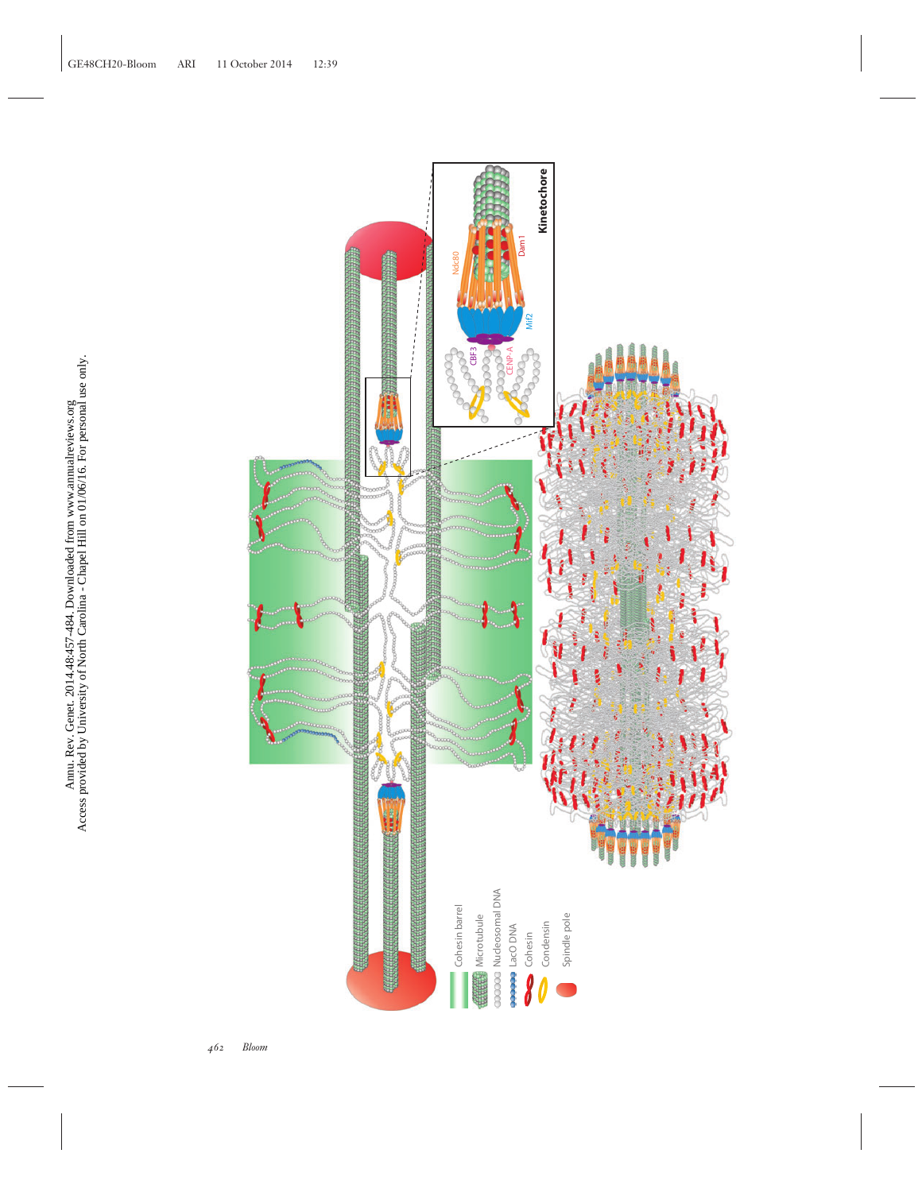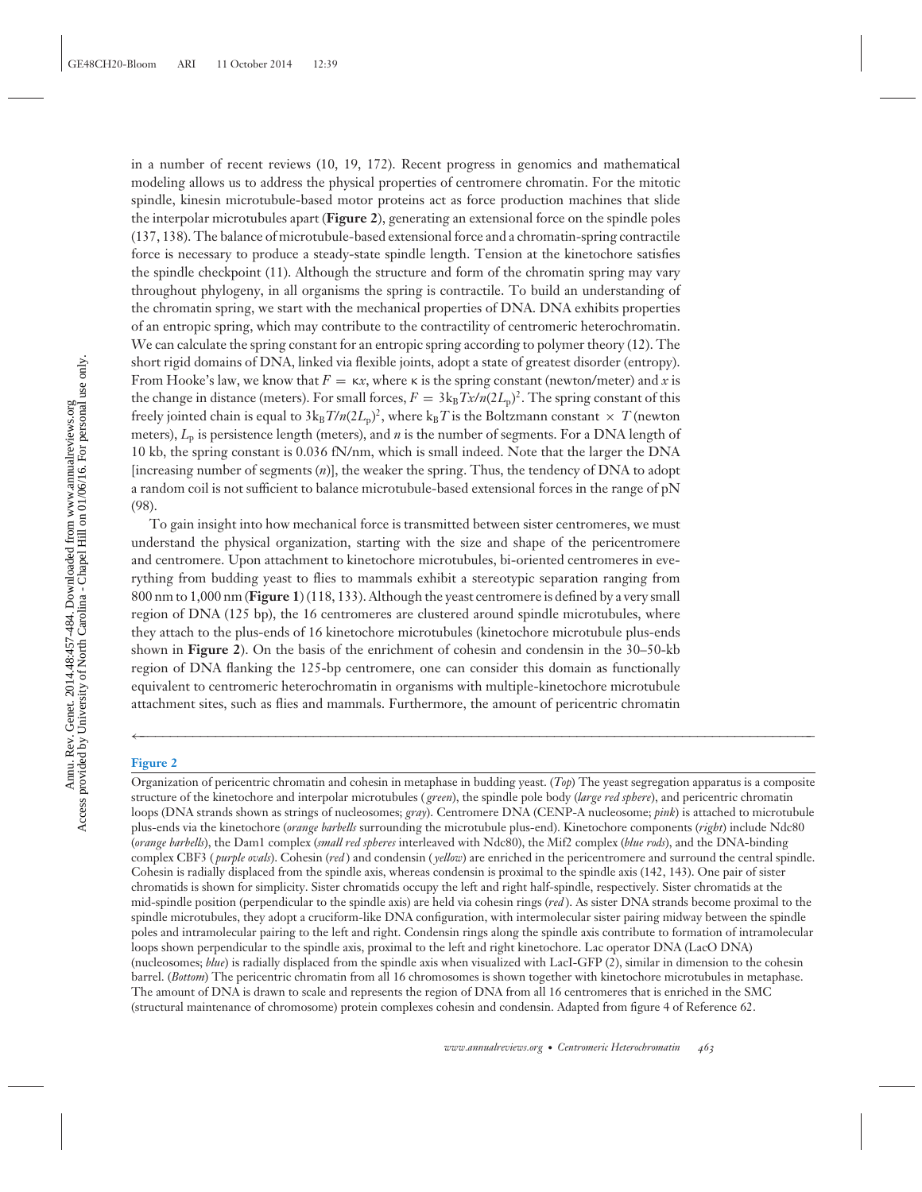in a number of recent reviews (10, 19, 172). Recent progress in genomics and mathematical modeling allows us to address the physical properties of centromere chromatin. For the mitotic spindle, kinesin microtubule-based motor proteins act as force production machines that slide the interpolar microtubules apart (**Figure 2**), generating an extensional force on the spindle poles (137, 138). The balance of microtubule-based extensional force and a chromatin-spring contractile force is necessary to produce a steady-state spindle length. Tension at the kinetochore satisfies the spindle checkpoint (11). Although the structure and form of the chromatin spring may vary throughout phylogeny, in all organisms the spring is contractile. To build an understanding of the chromatin spring, we start with the mechanical properties of DNA. DNA exhibits properties of an entropic spring, which may contribute to the contractility of centromeric heterochromatin. We can calculate the spring constant for an entropic spring according to polymer theory (12). The short rigid domains of DNA, linked via flexible joints, adopt a state of greatest disorder (entropy). From Hooke's law, we know that  $F = \kappa x$ , where  $\kappa$  is the spring constant (newton/meter) and x is the change in distance (meters). For small forces,  $F = 3k_B Tx/n(2L_p)^2$ . The spring constant of this freely jointed chain is equal to  $3k_BT/n(2L_p)^2$ , where  $k_BT$  is the Boltzmann constant  $\times$  *T* (newton meters),  $L<sub>p</sub>$  is persistence length (meters), and *n* is the number of segments. For a DNA length of 10 kb, the spring constant is 0.036 fN/nm, which is small indeed. Note that the larger the DNA [increasing number of segments (*n*)], the weaker the spring. Thus, the tendency of DNA to adopt a random coil is not sufficient to balance microtubule-based extensional forces in the range of pN (98).

To gain insight into how mechanical force is transmitted between sister centromeres, we must understand the physical organization, starting with the size and shape of the pericentromere and centromere. Upon attachment to kinetochore microtubules, bi-oriented centromeres in everything from budding yeast to flies to mammals exhibit a stereotypic separation ranging from 800 nm to 1,000 nm (**Figure 1**) (118, 133). Although the yeast centromere is defined by a very small region of DNA (125 bp), the 16 centromeres are clustered around spindle microtubules, where they attach to the plus-ends of 16 kinetochore microtubules (kinetochore microtubule plus-ends shown in **Figure 2**). On the basis of the enrichment of cohesin and condensin in the 30–50-kb region of DNA flanking the 125-bp centromere, one can consider this domain as functionally equivalent to centromeric heterochromatin in organisms with multiple-kinetochore microtubule attachment sites, such as flies and mammals. Furthermore, the amount of pericentric chromatin

#### **Figure 2**

Organization of pericentric chromatin and cohesin in metaphase in budding yeast. (*Top*) The yeast segregation apparatus is a composite structure of the kinetochore and interpolar microtubules ( *green*), the spindle pole body (*large red sphere*), and pericentric chromatin loops (DNA strands shown as strings of nucleosomes; *gray*). Centromere DNA (CENP-A nucleosome; *pink*) is attached to microtubule plus-ends via the kinetochore (*orange barbells* surrounding the microtubule plus-end). Kinetochore components (*right*) include Ndc80 (*orange barbells*), the Dam1 complex (*small red spheres* interleaved with Ndc80), the Mif2 complex (*blue rods*), and the DNA-binding complex CBF3 ( *purple ovals*). Cohesin (*red* ) and condensin ( *yellow*) are enriched in the pericentromere and surround the central spindle. Cohesin is radially displaced from the spindle axis, whereas condensin is proximal to the spindle axis (142, 143). One pair of sister chromatids is shown for simplicity. Sister chromatids occupy the left and right half-spindle, respectively. Sister chromatids at the mid-spindle position (perpendicular to the spindle axis) are held via cohesin rings (*red* ). As sister DNA strands become proximal to the spindle microtubules, they adopt a cruciform-like DNA configuration, with intermolecular sister pairing midway between the spindle poles and intramolecular pairing to the left and right. Condensin rings along the spindle axis contribute to formation of intramolecular loops shown perpendicular to the spindle axis, proximal to the left and right kinetochore. Lac operator DNA (LacO DNA) (nucleosomes; *blue*) is radially displaced from the spindle axis when visualized with LacI-GFP (2), similar in dimension to the cohesin barrel. (*Bottom*) The pericentric chromatin from all 16 chromosomes is shown together with kinetochore microtubules in metaphase. The amount of DNA is drawn to scale and represents the region of DNA from all 16 centromeres that is enriched in the SMC (structural maintenance of chromosome) protein complexes cohesin and condensin. Adapted from figure 4 of Reference 62.

←−−−−−−−−−−−−−−−−−−−−−−−−−−−−−−−−−−−−−−−−−−−−−−−−−−−−−−−−−−−−−−−−−−−−−−−−−−−−−−−−−−−−−−−−−−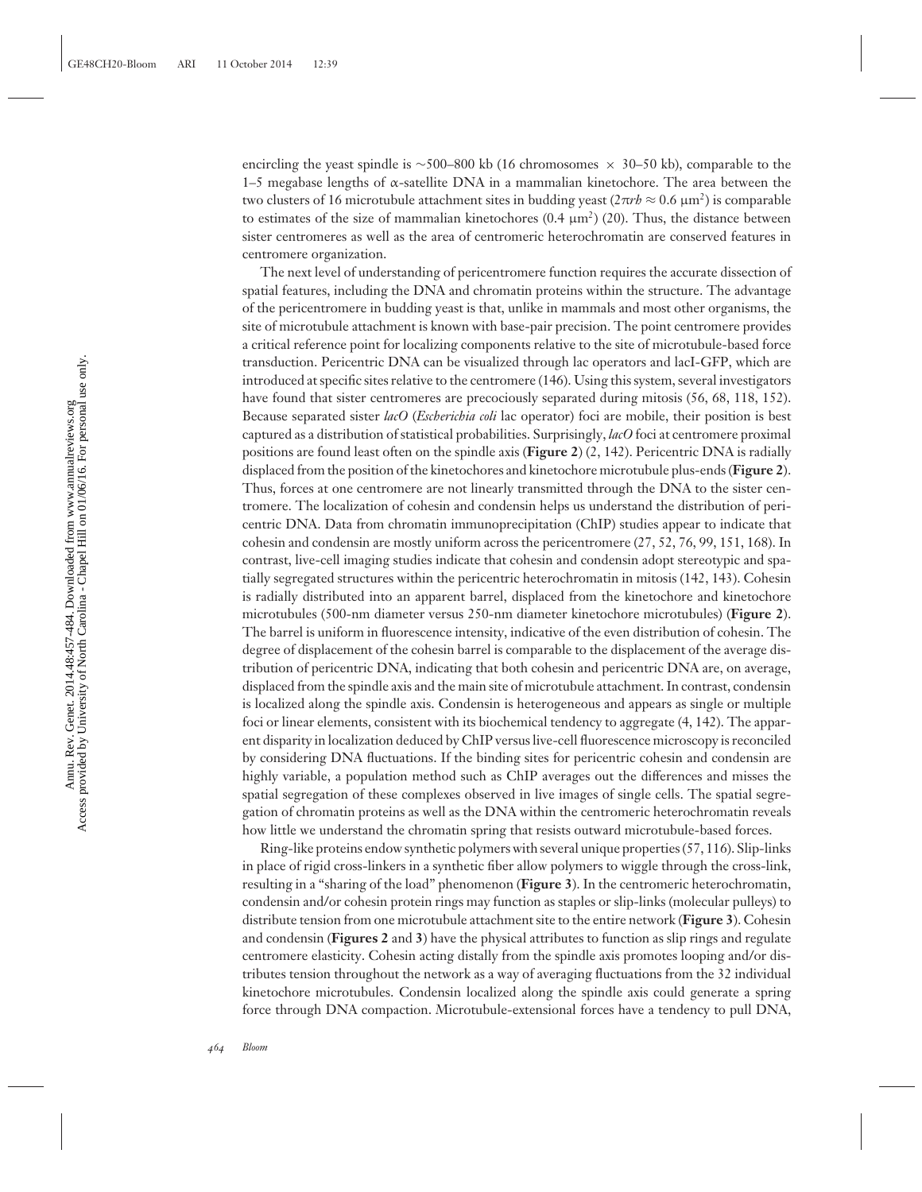encircling the yeast spindle is ∼500–800 kb (16 chromosomes × 30–50 kb), comparable to the 1–5 megabase lengths of  $\alpha$ -satellite DNA in a mammalian kinetochore. The area between the two clusters of 16 microtubule attachment sites in budding yeast (2π*rh* ≈ 0.6 μm2) is comparable to estimates of the size of mammalian kinetochores  $(0.4 \mu m^2)$  (20). Thus, the distance between sister centromeres as well as the area of centromeric heterochromatin are conserved features in centromere organization.

The next level of understanding of pericentromere function requires the accurate dissection of spatial features, including the DNA and chromatin proteins within the structure. The advantage of the pericentromere in budding yeast is that, unlike in mammals and most other organisms, the site of microtubule attachment is known with base-pair precision. The point centromere provides a critical reference point for localizing components relative to the site of microtubule-based force transduction. Pericentric DNA can be visualized through lac operators and lacI-GFP, which are introduced at specific sites relative to the centromere (146). Using this system, several investigators have found that sister centromeres are precociously separated during mitosis (56, 68, 118, 152). Because separated sister *lacO* (*Escherichia coli* lac operator) foci are mobile, their position is best captured as a distribution of statistical probabilities. Surprisingly, *lacO* foci at centromere proximal positions are found least often on the spindle axis (**Figure 2**) (2, 142). Pericentric DNA is radially displaced from the position of the kinetochores and kinetochore microtubule plus-ends (**Figure 2**). Thus, forces at one centromere are not linearly transmitted through the DNA to the sister centromere. The localization of cohesin and condensin helps us understand the distribution of pericentric DNA. Data from chromatin immunoprecipitation (ChIP) studies appear to indicate that cohesin and condensin are mostly uniform across the pericentromere (27, 52, 76, 99, 151, 168). In contrast, live-cell imaging studies indicate that cohesin and condensin adopt stereotypic and spatially segregated structures within the pericentric heterochromatin in mitosis (142, 143). Cohesin is radially distributed into an apparent barrel, displaced from the kinetochore and kinetochore microtubules (500-nm diameter versus 250-nm diameter kinetochore microtubules) (**Figure 2**). The barrel is uniform in fluorescence intensity, indicative of the even distribution of cohesin. The degree of displacement of the cohesin barrel is comparable to the displacement of the average distribution of pericentric DNA, indicating that both cohesin and pericentric DNA are, on average, displaced from the spindle axis and the main site of microtubule attachment. In contrast, condensin is localized along the spindle axis. Condensin is heterogeneous and appears as single or multiple foci or linear elements, consistent with its biochemical tendency to aggregate (4, 142). The apparent disparity in localization deduced by ChIP versus live-cell fluorescence microscopy is reconciled by considering DNA fluctuations. If the binding sites for pericentric cohesin and condensin are highly variable, a population method such as ChIP averages out the differences and misses the spatial segregation of these complexes observed in live images of single cells. The spatial segregation of chromatin proteins as well as the DNA within the centromeric heterochromatin reveals how little we understand the chromatin spring that resists outward microtubule-based forces.

Ring-like proteins endow synthetic polymers with several unique properties (57, 116). Slip-links in place of rigid cross-linkers in a synthetic fiber allow polymers to wiggle through the cross-link, resulting in a "sharing of the load" phenomenon (**Figure 3**). In the centromeric heterochromatin, condensin and/or cohesin protein rings may function as staples or slip-links (molecular pulleys) to distribute tension from one microtubule attachment site to the entire network (**Figure 3**). Cohesin and condensin (**Figures 2** and **3**) have the physical attributes to function as slip rings and regulate centromere elasticity. Cohesin acting distally from the spindle axis promotes looping and/or distributes tension throughout the network as a way of averaging fluctuations from the 32 individual kinetochore microtubules. Condensin localized along the spindle axis could generate a spring force through DNA compaction. Microtubule-extensional forces have a tendency to pull DNA,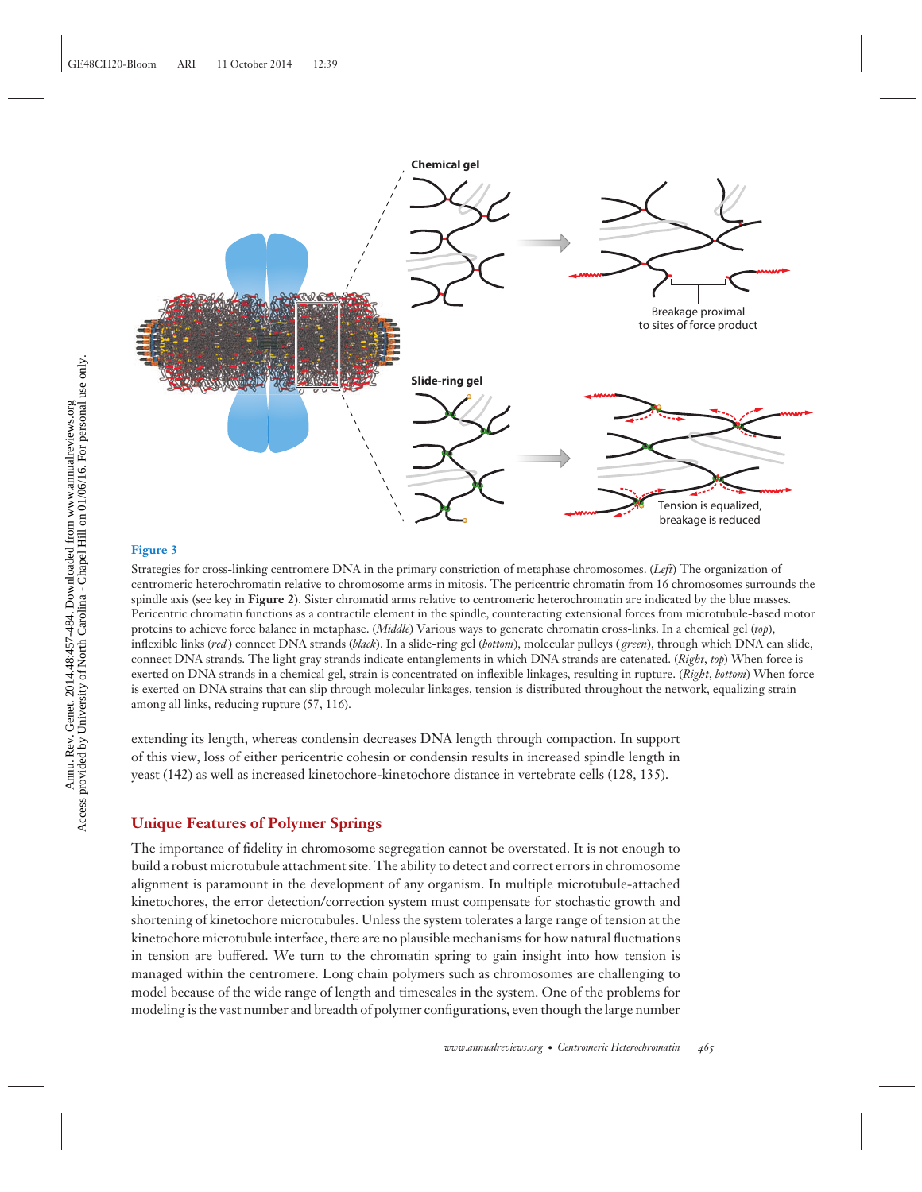

### **Figure 3**

Strategies for cross-linking centromere DNA in the primary constriction of metaphase chromosomes. (*Left*) The organization of centromeric heterochromatin relative to chromosome arms in mitosis. The pericentric chromatin from 16 chromosomes surrounds the spindle axis (see key in **Figure 2**). Sister chromatid arms relative to centromeric heterochromatin are indicated by the blue masses. Pericentric chromatin functions as a contractile element in the spindle, counteracting extensional forces from microtubule-based motor proteins to achieve force balance in metaphase. (*Middle*) Various ways to generate chromatin cross-links. In a chemical gel (*top*), inflexible links (*red* ) connect DNA strands (*black*). In a slide-ring gel (*bottom*), molecular pulleys ( *green*), through which DNA can slide, connect DNA strands. The light gray strands indicate entanglements in which DNA strands are catenated. (*Right*, *top*) When force is exerted on DNA strands in a chemical gel, strain is concentrated on inflexible linkages, resulting in rupture. (*Right*, *bottom*) When force is exerted on DNA strains that can slip through molecular linkages, tension is distributed throughout the network, equalizing strain among all links, reducing rupture (57, 116).

extending its length, whereas condensin decreases DNA length through compaction. In support of this view, loss of either pericentric cohesin or condensin results in increased spindle length in yeast (142) as well as increased kinetochore-kinetochore distance in vertebrate cells (128, 135).

# **Unique Features of Polymer Springs**

The importance of fidelity in chromosome segregation cannot be overstated. It is not enough to build a robust microtubule attachment site. The ability to detect and correct errors in chromosome alignment is paramount in the development of any organism. In multiple microtubule-attached kinetochores, the error detection/correction system must compensate for stochastic growth and shortening of kinetochore microtubules. Unless the system tolerates a large range of tension at the kinetochore microtubule interface, there are no plausible mechanisms for how natural fluctuations in tension are buffered. We turn to the chromatin spring to gain insight into how tension is managed within the centromere. Long chain polymers such as chromosomes are challenging to model because of the wide range of length and timescales in the system. One of the problems for modeling is the vast number and breadth of polymer configurations, even though the large number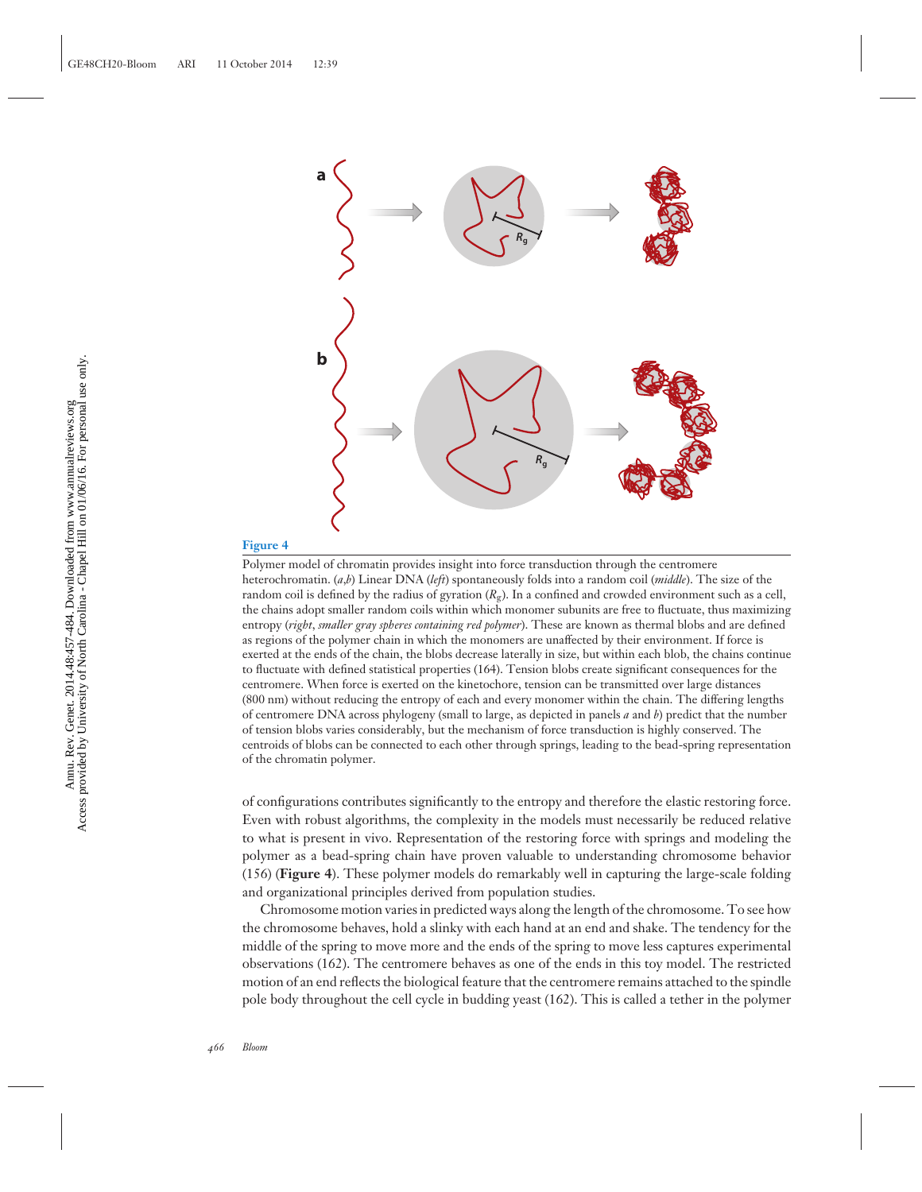

#### **Figure 4**

Polymer model of chromatin provides insight into force transduction through the centromere heterochromatin. (*a*,*b*) Linear DNA (*left*) spontaneously folds into a random coil (*middle*). The size of the random coil is defined by the radius of gyration (*R*g). In a confined and crowded environment such as a cell, the chains adopt smaller random coils within which monomer subunits are free to fluctuate, thus maximizing entropy (*right*, *smaller gray spheres containing red polymer*). These are known as thermal blobs and are defined as regions of the polymer chain in which the monomers are unaffected by their environment. If force is exerted at the ends of the chain, the blobs decrease laterally in size, but within each blob, the chains continue to fluctuate with defined statistical properties (164). Tension blobs create significant consequences for the centromere. When force is exerted on the kinetochore, tension can be transmitted over large distances (800 nm) without reducing the entropy of each and every monomer within the chain. The differing lengths of centromere DNA across phylogeny (small to large, as depicted in panels *a* and *b*) predict that the number of tension blobs varies considerably, but the mechanism of force transduction is highly conserved. The centroids of blobs can be connected to each other through springs, leading to the bead-spring representation of the chromatin polymer.

of configurations contributes significantly to the entropy and therefore the elastic restoring force. Even with robust algorithms, the complexity in the models must necessarily be reduced relative to what is present in vivo. Representation of the restoring force with springs and modeling the polymer as a bead-spring chain have proven valuable to understanding chromosome behavior (156) (**Figure 4**). These polymer models do remarkably well in capturing the large-scale folding and organizational principles derived from population studies.

Chromosome motion varies in predicted ways along the length of the chromosome. To see how the chromosome behaves, hold a slinky with each hand at an end and shake. The tendency for the middle of the spring to move more and the ends of the spring to move less captures experimental observations (162). The centromere behaves as one of the ends in this toy model. The restricted motion of an end reflects the biological feature that the centromere remains attached to the spindle pole body throughout the cell cycle in budding yeast (162). This is called a tether in the polymer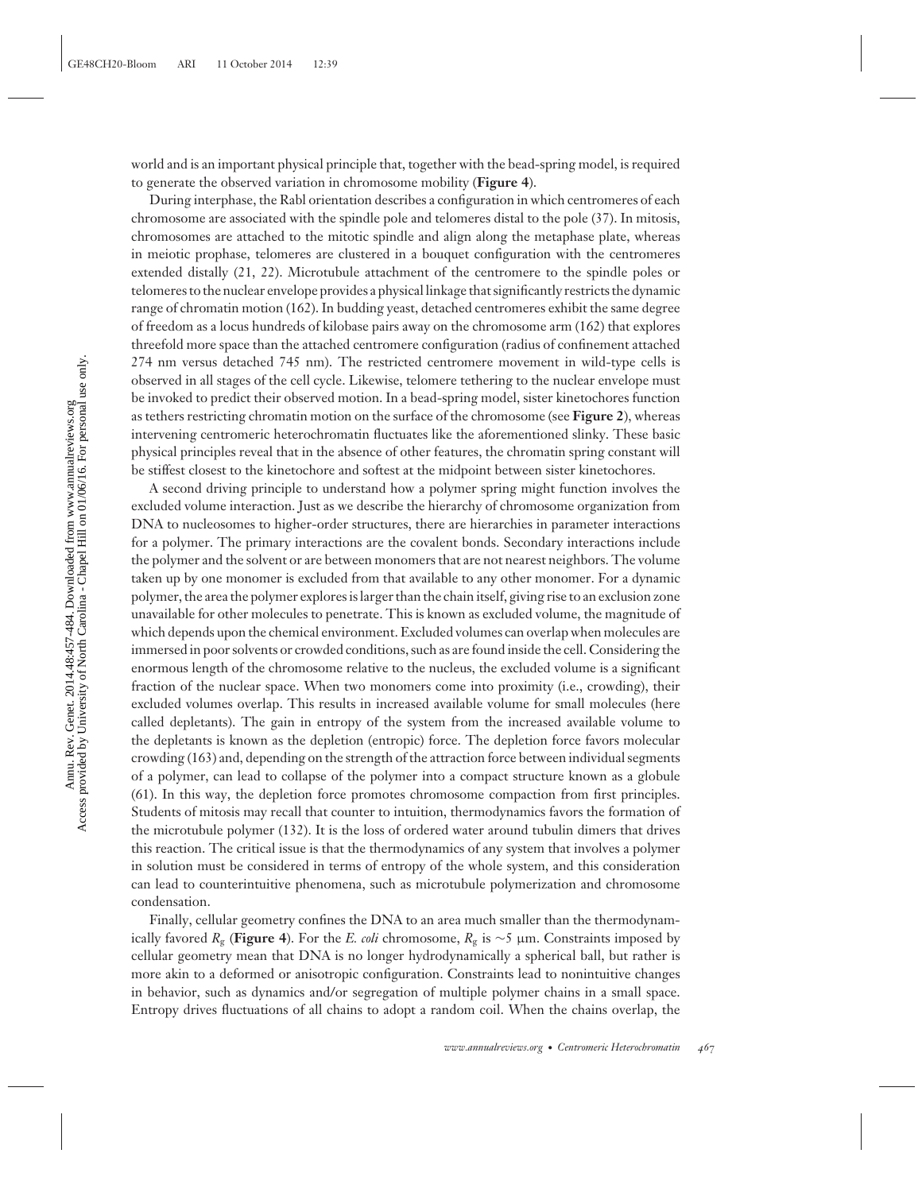world and is an important physical principle that, together with the bead-spring model, is required to generate the observed variation in chromosome mobility (**Figure 4**).

During interphase, the Rabl orientation describes a configuration in which centromeres of each chromosome are associated with the spindle pole and telomeres distal to the pole (37). In mitosis, chromosomes are attached to the mitotic spindle and align along the metaphase plate, whereas in meiotic prophase, telomeres are clustered in a bouquet configuration with the centromeres extended distally (21, 22). Microtubule attachment of the centromere to the spindle poles or telomeres to the nuclear envelope provides a physical linkage that significantly restricts the dynamic range of chromatin motion (162). In budding yeast, detached centromeres exhibit the same degree of freedom as a locus hundreds of kilobase pairs away on the chromosome arm (162) that explores threefold more space than the attached centromere configuration (radius of confinement attached 274 nm versus detached 745 nm). The restricted centromere movement in wild-type cells is observed in all stages of the cell cycle. Likewise, telomere tethering to the nuclear envelope must be invoked to predict their observed motion. In a bead-spring model, sister kinetochores function as tethers restricting chromatin motion on the surface of the chromosome (see **Figure 2**), whereas intervening centromeric heterochromatin fluctuates like the aforementioned slinky. These basic physical principles reveal that in the absence of other features, the chromatin spring constant will be stiffest closest to the kinetochore and softest at the midpoint between sister kinetochores.

A second driving principle to understand how a polymer spring might function involves the excluded volume interaction. Just as we describe the hierarchy of chromosome organization from DNA to nucleosomes to higher-order structures, there are hierarchies in parameter interactions for a polymer. The primary interactions are the covalent bonds. Secondary interactions include the polymer and the solvent or are between monomers that are not nearest neighbors. The volume taken up by one monomer is excluded from that available to any other monomer. For a dynamic polymer, the area the polymer explores is larger than the chain itself, giving rise to an exclusion zone unavailable for other molecules to penetrate. This is known as excluded volume, the magnitude of which depends upon the chemical environment. Excluded volumes can overlap when molecules are immersed in poor solvents or crowded conditions, such as are found inside the cell. Considering the enormous length of the chromosome relative to the nucleus, the excluded volume is a significant fraction of the nuclear space. When two monomers come into proximity (i.e., crowding), their excluded volumes overlap. This results in increased available volume for small molecules (here called depletants). The gain in entropy of the system from the increased available volume to the depletants is known as the depletion (entropic) force. The depletion force favors molecular crowding (163) and, depending on the strength of the attraction force between individual segments of a polymer, can lead to collapse of the polymer into a compact structure known as a globule (61). In this way, the depletion force promotes chromosome compaction from first principles. Students of mitosis may recall that counter to intuition, thermodynamics favors the formation of the microtubule polymer (132). It is the loss of ordered water around tubulin dimers that drives this reaction. The critical issue is that the thermodynamics of any system that involves a polymer in solution must be considered in terms of entropy of the whole system, and this consideration can lead to counterintuitive phenomena, such as microtubule polymerization and chromosome condensation.

Finally, cellular geometry confines the DNA to an area much smaller than the thermodynamically favored *R*<sup>g</sup> (**Figure 4**). For the *E. coli* chromosome, *R*<sup>g</sup> is ∼5 μm. Constraints imposed by cellular geometry mean that DNA is no longer hydrodynamically a spherical ball, but rather is more akin to a deformed or anisotropic configuration. Constraints lead to nonintuitive changes in behavior, such as dynamics and/or segregation of multiple polymer chains in a small space. Entropy drives fluctuations of all chains to adopt a random coil. When the chains overlap, the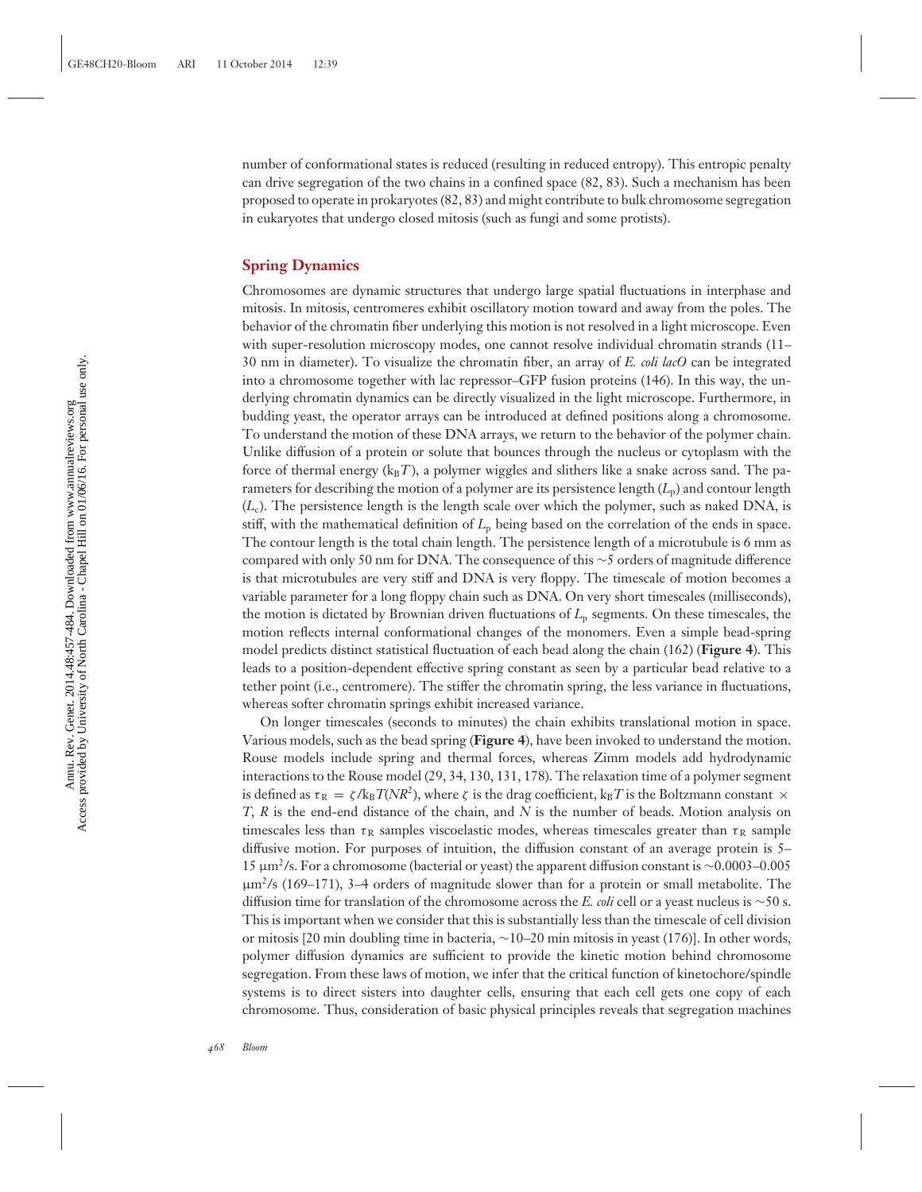number of conformational states is reduced (resulting in reduced entropy). This entropic penalty can drive segregation of the two chains in a confined space (82, 83). Such a mechanism has been proposed to operate in prokaryotes (82, 83) and might contribute to bulk chromosome segregation in eukaryotes that undergo closed mitosis (such as fungi and some protists).

#### **Spring Dynamics**

Chromosomes are dynamic structures that undergo large spatial fluctuations in interphase and mitosis. In mitosis, centromeres exhibit oscillatory motion toward and away from the poles. The behavior of the chromatin fiber underlying this motion is not resolved in a light microscope. Even with super-resolution microscopy modes, one cannot resolve individual chromatin strands (11– 30 nm in diameter). To visualize the chromatin fiber, an array of *E. coli lacO* can be integrated into a chromosome together with lac repressor–GFP fusion proteins (146). In this way, the underlying chromatin dynamics can be directly visualized in the light microscope. Furthermore, in budding yeast, the operator arrays can be introduced at defined positions along a chromosome. To understand the motion of these DNA arrays, we return to the behavior of the polymer chain. Unlike diffusion of a protein or solute that bounces through the nucleus or cytoplasm with the force of thermal energy ( $k_B T$ ), a polymer wiggles and slithers like a snake across sand. The parameters for describing the motion of a polymer are its persistence length (*L*p) and contour length  $(L<sub>c</sub>)$ . The persistence length is the length scale over which the polymer, such as naked DNA, is stiff, with the mathematical definition of  $L_p$  being based on the correlation of the ends in space. The contour length is the total chain length. The persistence length of a microtubule is 6 mm as compared with only 50 nm for DNA. The consequence of this ∼5 orders of magnitude difference is that microtubules are very stiff and DNA is very floppy. The timescale of motion becomes a variable parameter for a long floppy chain such as DNA. On very short timescales (milliseconds), the motion is dictated by Brownian driven fluctuations of  $L_p$  segments. On these timescales, the motion reflects internal conformational changes of the monomers. Even a simple bead-spring model predicts distinct statistical fluctuation of each bead along the chain (162) (**Figure 4**). This leads to a position-dependent effective spring constant as seen by a particular bead relative to a tether point (i.e., centromere). The stiffer the chromatin spring, the less variance in fluctuations, whereas softer chromatin springs exhibit increased variance.

On longer timescales (seconds to minutes) the chain exhibits translational motion in space. Various models, such as the bead spring (**Figure 4**), have been invoked to understand the motion. Rouse models include spring and thermal forces, whereas Zimm models add hydrodynamic interactions to the Rouse model (29, 34, 130, 131, 178). The relaxation time of a polymer segment is defined as  $\tau_R = \zeta / k_B T(NR^2)$ , where  $\zeta$  is the drag coefficient,  $k_B T$  is the Boltzmann constant  $\times$ *T*, *R* is the end-end distance of the chain, and *N* is the number of beads. Motion analysis on timescales less than  $\tau_R$  samples viscoelastic modes, whereas timescales greater than  $\tau_R$  sample diffusive motion. For purposes of intuition, the diffusion constant of an average protein is 5– 15 μm2/s. For a chromosome (bacterial or yeast) the apparent diffusion constant is ∼0.0003–0.005  $\mu$ m<sup>2</sup>/s (169–171), 3–4 orders of magnitude slower than for a protein or small metabolite. The diffusion time for translation of the chromosome across the *E. coli* cell or a yeast nucleus is ∼50 s. This is important when we consider that this is substantially less than the timescale of cell division or mitosis [20 min doubling time in bacteria, ∼10–20 min mitosis in yeast (176)]. In other words, polymer diffusion dynamics are sufficient to provide the kinetic motion behind chromosome segregation. From these laws of motion, we infer that the critical function of kinetochore/spindle systems is to direct sisters into daughter cells, ensuring that each cell gets one copy of each chromosome. Thus, consideration of basic physical principles reveals that segregation machines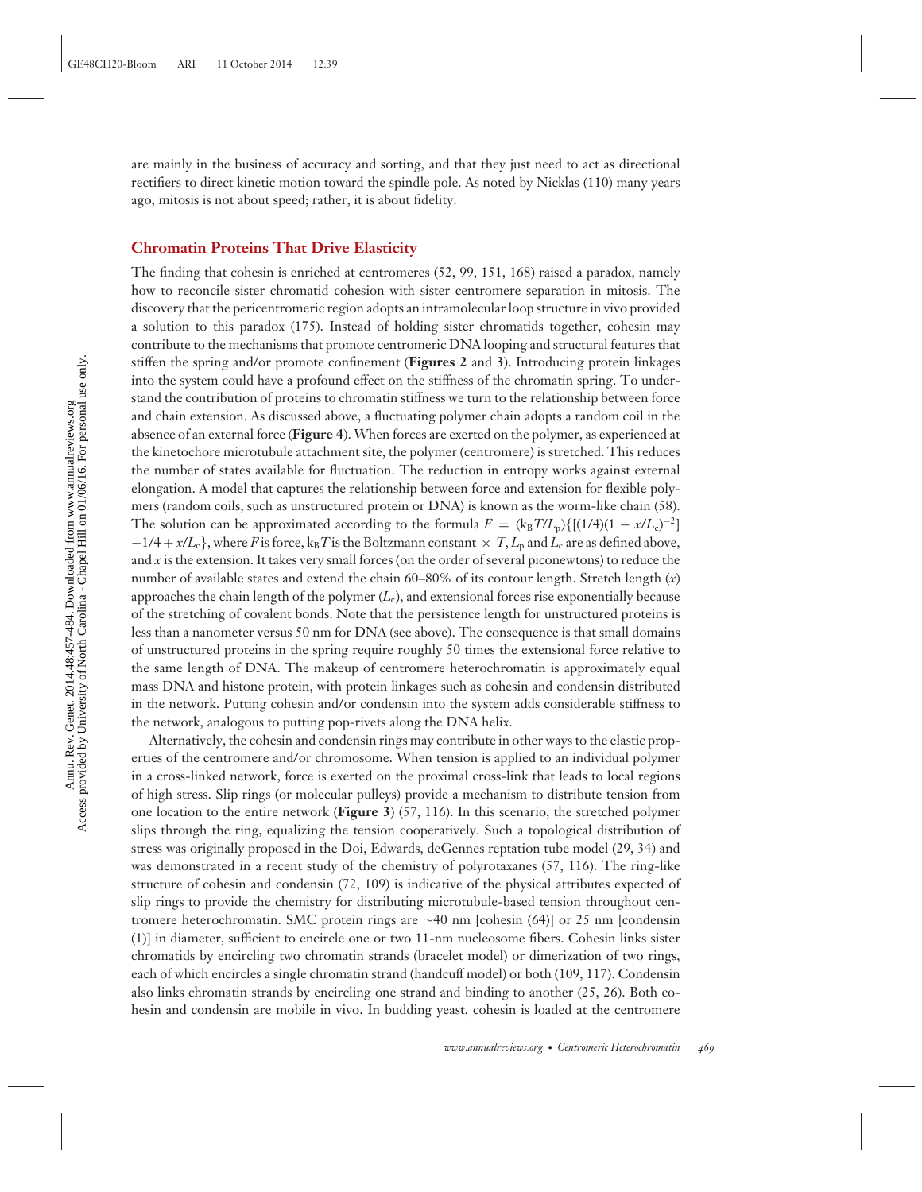are mainly in the business of accuracy and sorting, and that they just need to act as directional rectifiers to direct kinetic motion toward the spindle pole. As noted by Nicklas (110) many years ago, mitosis is not about speed; rather, it is about fidelity.

#### **Chromatin Proteins That Drive Elasticity**

The finding that cohesin is enriched at centromeres (52, 99, 151, 168) raised a paradox, namely how to reconcile sister chromatid cohesion with sister centromere separation in mitosis. The discovery that the pericentromeric region adopts an intramolecular loop structure in vivo provided a solution to this paradox (175). Instead of holding sister chromatids together, cohesin may contribute to the mechanisms that promote centromeric DNA looping and structural features that stiffen the spring and/or promote confinement (**Figures 2** and **3**). Introducing protein linkages into the system could have a profound effect on the stiffness of the chromatin spring. To understand the contribution of proteins to chromatin stiffness we turn to the relationship between force and chain extension. As discussed above, a fluctuating polymer chain adopts a random coil in the absence of an external force (**Figure 4**). When forces are exerted on the polymer, as experienced at the kinetochore microtubule attachment site, the polymer (centromere) is stretched. This reduces the number of states available for fluctuation. The reduction in entropy works against external elongation. A model that captures the relationship between force and extension for flexible polymers (random coils, such as unstructured protein or DNA) is known as the worm-like chain (58). The solution can be approximated according to the formula  $F = (k_B T/L_p) \{[(1/4)(1 - x/L_c)^{-2}]$  $-1/4 + x/L_c$ , where *F* is force, k<sub>B</sub>T is the Boltzmann constant  $\times T$ , *L*<sub>p</sub> and *L*<sub>c</sub> are as defined above, and *x* is the extension. It takes very small forces (on the order of several piconewtons) to reduce the number of available states and extend the chain 60–80% of its contour length. Stretch length (*x*) approaches the chain length of the polymer (*L*c), and extensional forces rise exponentially because of the stretching of covalent bonds. Note that the persistence length for unstructured proteins is less than a nanometer versus 50 nm for DNA (see above). The consequence is that small domains of unstructured proteins in the spring require roughly 50 times the extensional force relative to the same length of DNA. The makeup of centromere heterochromatin is approximately equal mass DNA and histone protein, with protein linkages such as cohesin and condensin distributed in the network. Putting cohesin and/or condensin into the system adds considerable stiffness to the network, analogous to putting pop-rivets along the DNA helix.

Alternatively, the cohesin and condensin rings may contribute in other ways to the elastic properties of the centromere and/or chromosome. When tension is applied to an individual polymer in a cross-linked network, force is exerted on the proximal cross-link that leads to local regions of high stress. Slip rings (or molecular pulleys) provide a mechanism to distribute tension from one location to the entire network (**Figure 3**) (57, 116). In this scenario, the stretched polymer slips through the ring, equalizing the tension cooperatively. Such a topological distribution of stress was originally proposed in the Doi, Edwards, deGennes reptation tube model (29, 34) and was demonstrated in a recent study of the chemistry of polyrotaxanes (57, 116). The ring-like structure of cohesin and condensin (72, 109) is indicative of the physical attributes expected of slip rings to provide the chemistry for distributing microtubule-based tension throughout centromere heterochromatin. SMC protein rings are ∼40 nm [cohesin (64)] or 25 nm [condensin (1)] in diameter, sufficient to encircle one or two 11-nm nucleosome fibers. Cohesin links sister chromatids by encircling two chromatin strands (bracelet model) or dimerization of two rings, each of which encircles a single chromatin strand (handcuff model) or both (109, 117). Condensin also links chromatin strands by encircling one strand and binding to another (25, 26). Both cohesin and condensin are mobile in vivo. In budding yeast, cohesin is loaded at the centromere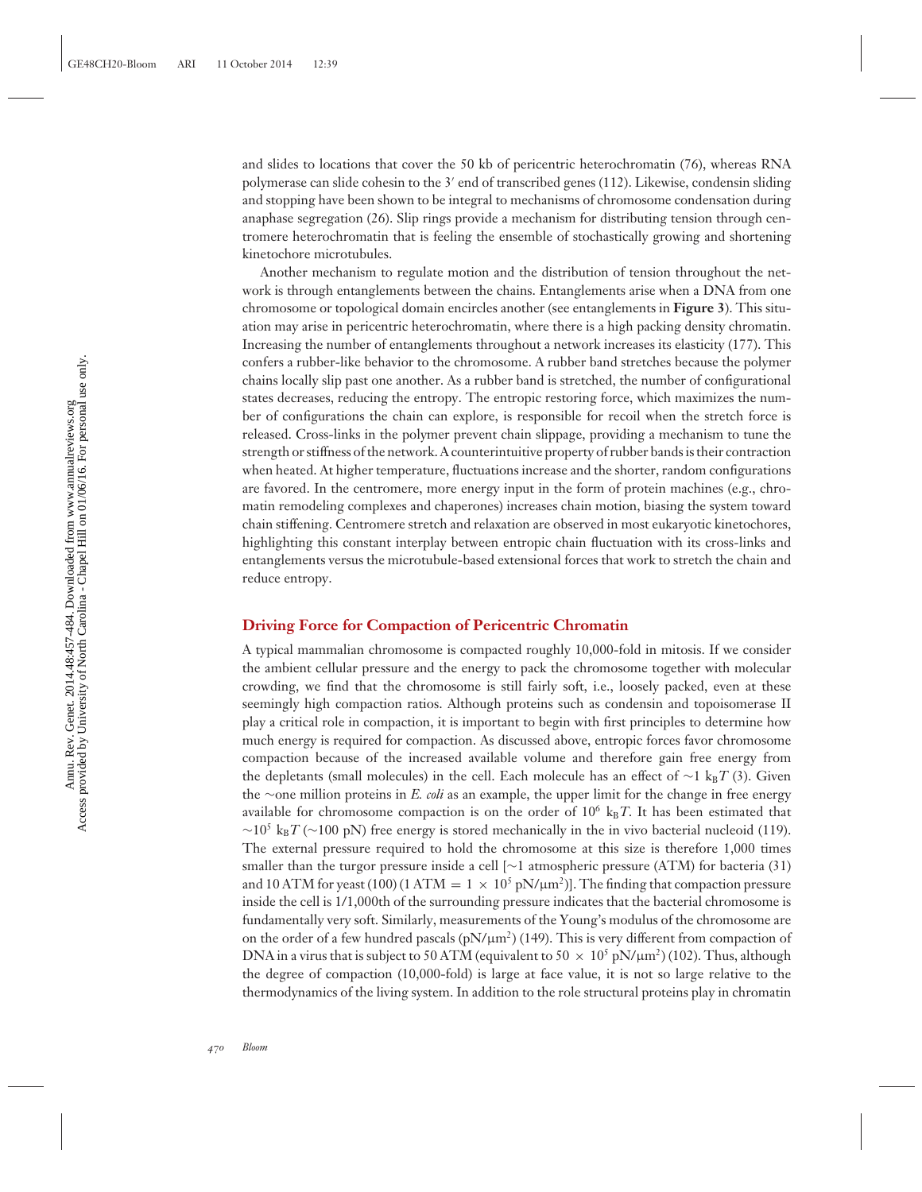and slides to locations that cover the 50 kb of pericentric heterochromatin (76), whereas RNA polymerase can slide cohesin to the  $3'$  end of transcribed genes (112). Likewise, condensin sliding and stopping have been shown to be integral to mechanisms of chromosome condensation during anaphase segregation (26). Slip rings provide a mechanism for distributing tension through centromere heterochromatin that is feeling the ensemble of stochastically growing and shortening kinetochore microtubules.

Another mechanism to regulate motion and the distribution of tension throughout the network is through entanglements between the chains. Entanglements arise when a DNA from one chromosome or topological domain encircles another (see entanglements in **Figure 3**). This situation may arise in pericentric heterochromatin, where there is a high packing density chromatin. Increasing the number of entanglements throughout a network increases its elasticity (177). This confers a rubber-like behavior to the chromosome. A rubber band stretches because the polymer chains locally slip past one another. As a rubber band is stretched, the number of configurational states decreases, reducing the entropy. The entropic restoring force, which maximizes the number of configurations the chain can explore, is responsible for recoil when the stretch force is released. Cross-links in the polymer prevent chain slippage, providing a mechanism to tune the strength or stiffness of the network. A counterintuitive property of rubber bands is their contraction when heated. At higher temperature, fluctuations increase and the shorter, random configurations are favored. In the centromere, more energy input in the form of protein machines (e.g., chromatin remodeling complexes and chaperones) increases chain motion, biasing the system toward chain stiffening. Centromere stretch and relaxation are observed in most eukaryotic kinetochores, highlighting this constant interplay between entropic chain fluctuation with its cross-links and entanglements versus the microtubule-based extensional forces that work to stretch the chain and reduce entropy.

### **Driving Force for Compaction of Pericentric Chromatin**

A typical mammalian chromosome is compacted roughly 10,000-fold in mitosis. If we consider the ambient cellular pressure and the energy to pack the chromosome together with molecular crowding, we find that the chromosome is still fairly soft, i.e., loosely packed, even at these seemingly high compaction ratios. Although proteins such as condensin and topoisomerase II play a critical role in compaction, it is important to begin with first principles to determine how much energy is required for compaction. As discussed above, entropic forces favor chromosome compaction because of the increased available volume and therefore gain free energy from the depletants (small molecules) in the cell. Each molecule has an effect of  $\sim$ 1 k<sub>B</sub>T (3). Given the ∼one million proteins in *E. coli* as an example, the upper limit for the change in free energy available for chromosome compaction is on the order of  $10^6$  k<sub>B</sub>T. It has been estimated that ∼105 kB*T* (∼100 pN) free energy is stored mechanically in the in vivo bacterial nucleoid (119). The external pressure required to hold the chromosome at this size is therefore 1,000 times smaller than the turgor pressure inside a cell [∼1 atmospheric pressure (ATM) for bacteria (31) and 10 ATM for yeast (100) (1 ATM =  $1 \times 10^5$  pN/ $\mu$ m<sup>2</sup>)]. The finding that compaction pressure inside the cell is 1/1,000th of the surrounding pressure indicates that the bacterial chromosome is fundamentally very soft. Similarly, measurements of the Young's modulus of the chromosome are on the order of a few hundred pascals ( $pN/\mu m^2$ ) (149). This is very different from compaction of DNA in a virus that is subject to 50 ATM (equivalent to 50  $\times$  10<sup>5</sup> pN/ $\mu$ m<sup>2</sup>) (102). Thus, although the degree of compaction (10,000-fold) is large at face value, it is not so large relative to the thermodynamics of the living system. In addition to the role structural proteins play in chromatin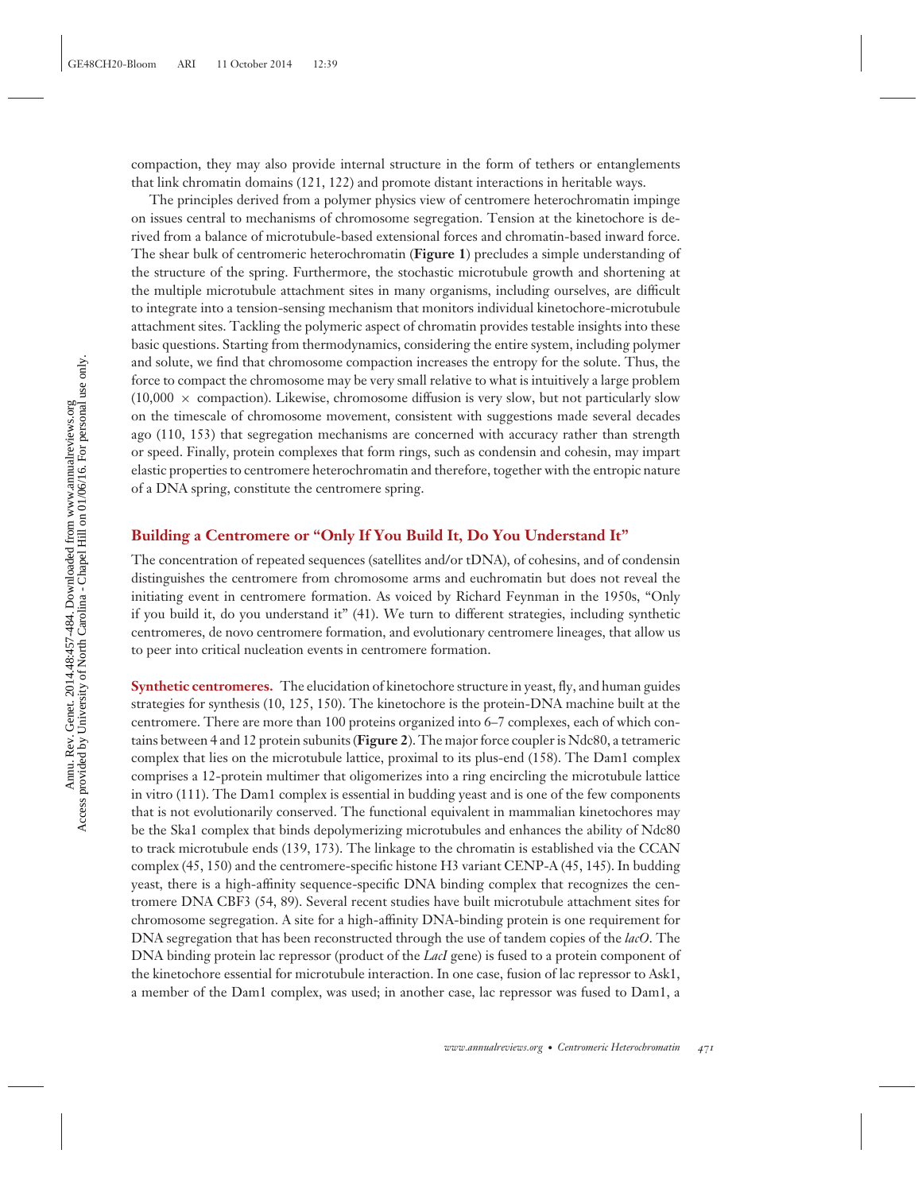compaction, they may also provide internal structure in the form of tethers or entanglements that link chromatin domains (121, 122) and promote distant interactions in heritable ways.

The principles derived from a polymer physics view of centromere heterochromatin impinge on issues central to mechanisms of chromosome segregation. Tension at the kinetochore is derived from a balance of microtubule-based extensional forces and chromatin-based inward force. The shear bulk of centromeric heterochromatin (**Figure 1**) precludes a simple understanding of the structure of the spring. Furthermore, the stochastic microtubule growth and shortening at the multiple microtubule attachment sites in many organisms, including ourselves, are difficult to integrate into a tension-sensing mechanism that monitors individual kinetochore-microtubule attachment sites. Tackling the polymeric aspect of chromatin provides testable insights into these basic questions. Starting from thermodynamics, considering the entire system, including polymer and solute, we find that chromosome compaction increases the entropy for the solute. Thus, the force to compact the chromosome may be very small relative to what is intuitively a large problem  $(10,000 \times$  compaction). Likewise, chromosome diffusion is very slow, but not particularly slow on the timescale of chromosome movement, consistent with suggestions made several decades ago (110, 153) that segregation mechanisms are concerned with accuracy rather than strength or speed. Finally, protein complexes that form rings, such as condensin and cohesin, may impart elastic properties to centromere heterochromatin and therefore, together with the entropic nature of a DNA spring, constitute the centromere spring.

# **Building a Centromere or "Only If You Build It, Do You Understand It"**

The concentration of repeated sequences (satellites and/or tDNA), of cohesins, and of condensin distinguishes the centromere from chromosome arms and euchromatin but does not reveal the initiating event in centromere formation. As voiced by Richard Feynman in the 1950s, "Only if you build it, do you understand it" (41). We turn to different strategies, including synthetic centromeres, de novo centromere formation, and evolutionary centromere lineages, that allow us to peer into critical nucleation events in centromere formation.

**Synthetic centromeres.** The elucidation of kinetochore structure in yeast, fly, and human guides strategies for synthesis (10, 125, 150). The kinetochore is the protein-DNA machine built at the centromere. There are more than 100 proteins organized into 6–7 complexes, each of which contains between 4 and 12 protein subunits (**Figure 2**). The major force coupler is Ndc80, a tetrameric complex that lies on the microtubule lattice, proximal to its plus-end (158). The Dam1 complex comprises a 12-protein multimer that oligomerizes into a ring encircling the microtubule lattice in vitro (111). The Dam1 complex is essential in budding yeast and is one of the few components that is not evolutionarily conserved. The functional equivalent in mammalian kinetochores may be the Ska1 complex that binds depolymerizing microtubules and enhances the ability of Ndc80 to track microtubule ends (139, 173). The linkage to the chromatin is established via the CCAN complex (45, 150) and the centromere-specific histone H3 variant CENP-A (45, 145). In budding yeast, there is a high-affinity sequence-specific DNA binding complex that recognizes the centromere DNA CBF3 (54, 89). Several recent studies have built microtubule attachment sites for chromosome segregation. A site for a high-affinity DNA-binding protein is one requirement for DNA segregation that has been reconstructed through the use of tandem copies of the *lacO*. The DNA binding protein lac repressor (product of the *LacI* gene) is fused to a protein component of the kinetochore essential for microtubule interaction. In one case, fusion of lac repressor to Ask1, a member of the Dam1 complex, was used; in another case, lac repressor was fused to Dam1, a

Annu. Rev. Genet. 2014.48:457-484. Downloaded from www.annualreviews.org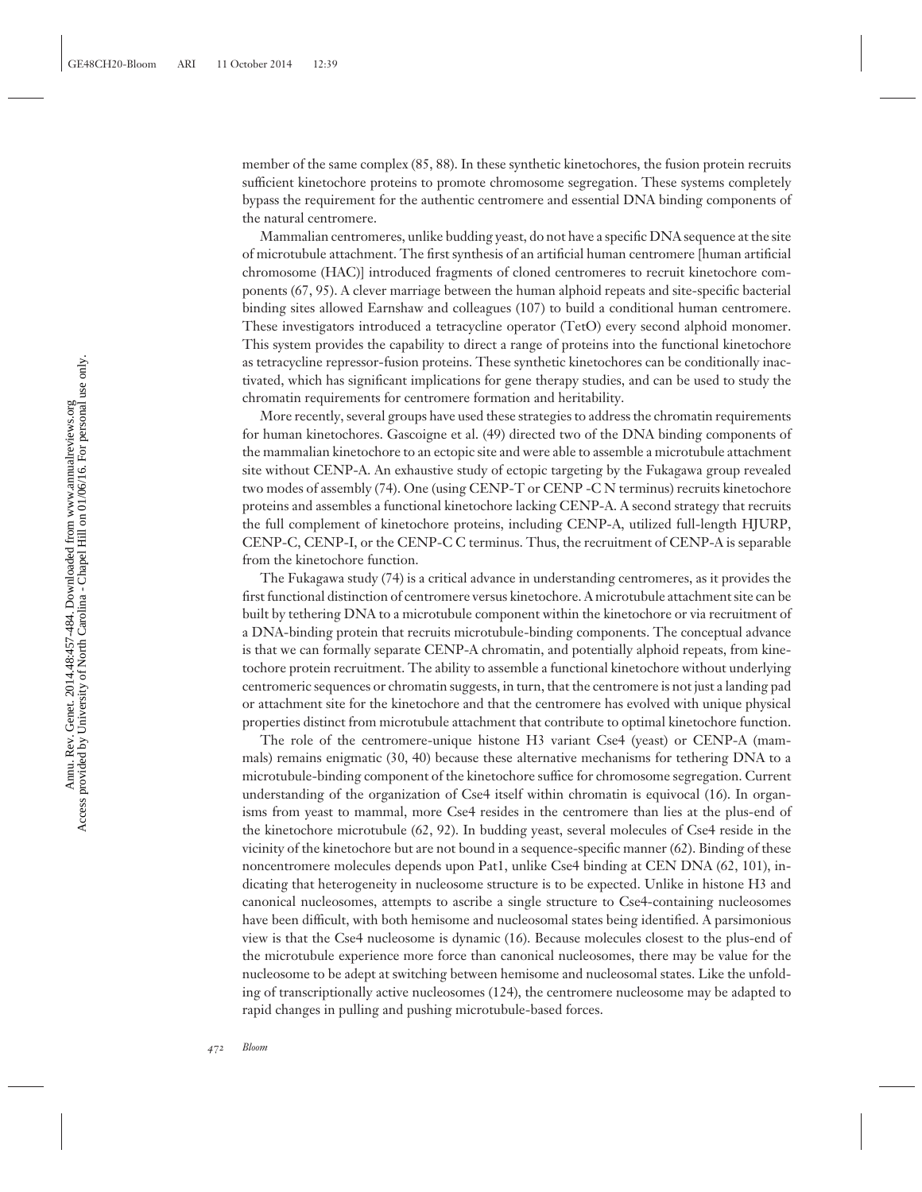member of the same complex (85, 88). In these synthetic kinetochores, the fusion protein recruits sufficient kinetochore proteins to promote chromosome segregation. These systems completely bypass the requirement for the authentic centromere and essential DNA binding components of the natural centromere.

Mammalian centromeres, unlike budding yeast, do not have a specific DNA sequence at the site of microtubule attachment. The first synthesis of an artificial human centromere [human artificial chromosome (HAC)] introduced fragments of cloned centromeres to recruit kinetochore components (67, 95). A clever marriage between the human alphoid repeats and site-specific bacterial binding sites allowed Earnshaw and colleagues (107) to build a conditional human centromere. These investigators introduced a tetracycline operator (TetO) every second alphoid monomer. This system provides the capability to direct a range of proteins into the functional kinetochore as tetracycline repressor-fusion proteins. These synthetic kinetochores can be conditionally inactivated, which has significant implications for gene therapy studies, and can be used to study the chromatin requirements for centromere formation and heritability.

More recently, several groups have used these strategies to address the chromatin requirements for human kinetochores. Gascoigne et al. (49) directed two of the DNA binding components of the mammalian kinetochore to an ectopic site and were able to assemble a microtubule attachment site without CENP-A. An exhaustive study of ectopic targeting by the Fukagawa group revealed two modes of assembly (74). One (using CENP-T or CENP -C N terminus) recruits kinetochore proteins and assembles a functional kinetochore lacking CENP-A. A second strategy that recruits the full complement of kinetochore proteins, including CENP-A, utilized full-length HJURP, CENP-C, CENP-I, or the CENP-C C terminus. Thus, the recruitment of CENP-A is separable from the kinetochore function.

The Fukagawa study (74) is a critical advance in understanding centromeres, as it provides the first functional distinction of centromere versus kinetochore. A microtubule attachment site can be built by tethering DNA to a microtubule component within the kinetochore or via recruitment of a DNA-binding protein that recruits microtubule-binding components. The conceptual advance is that we can formally separate CENP-A chromatin, and potentially alphoid repeats, from kinetochore protein recruitment. The ability to assemble a functional kinetochore without underlying centromeric sequences or chromatin suggests, in turn, that the centromere is not just a landing pad or attachment site for the kinetochore and that the centromere has evolved with unique physical properties distinct from microtubule attachment that contribute to optimal kinetochore function.

The role of the centromere-unique histone H3 variant Cse4 (yeast) or CENP-A (mammals) remains enigmatic (30, 40) because these alternative mechanisms for tethering DNA to a microtubule-binding component of the kinetochore suffice for chromosome segregation. Current understanding of the organization of Cse4 itself within chromatin is equivocal (16). In organisms from yeast to mammal, more Cse4 resides in the centromere than lies at the plus-end of the kinetochore microtubule (62, 92). In budding yeast, several molecules of Cse4 reside in the vicinity of the kinetochore but are not bound in a sequence-specific manner (62). Binding of these noncentromere molecules depends upon Pat1, unlike Cse4 binding at CEN DNA (62, 101), indicating that heterogeneity in nucleosome structure is to be expected. Unlike in histone H3 and canonical nucleosomes, attempts to ascribe a single structure to Cse4-containing nucleosomes have been difficult, with both hemisome and nucleosomal states being identified. A parsimonious view is that the Cse4 nucleosome is dynamic (16). Because molecules closest to the plus-end of the microtubule experience more force than canonical nucleosomes, there may be value for the nucleosome to be adept at switching between hemisome and nucleosomal states. Like the unfolding of transcriptionally active nucleosomes (124), the centromere nucleosome may be adapted to rapid changes in pulling and pushing microtubule-based forces.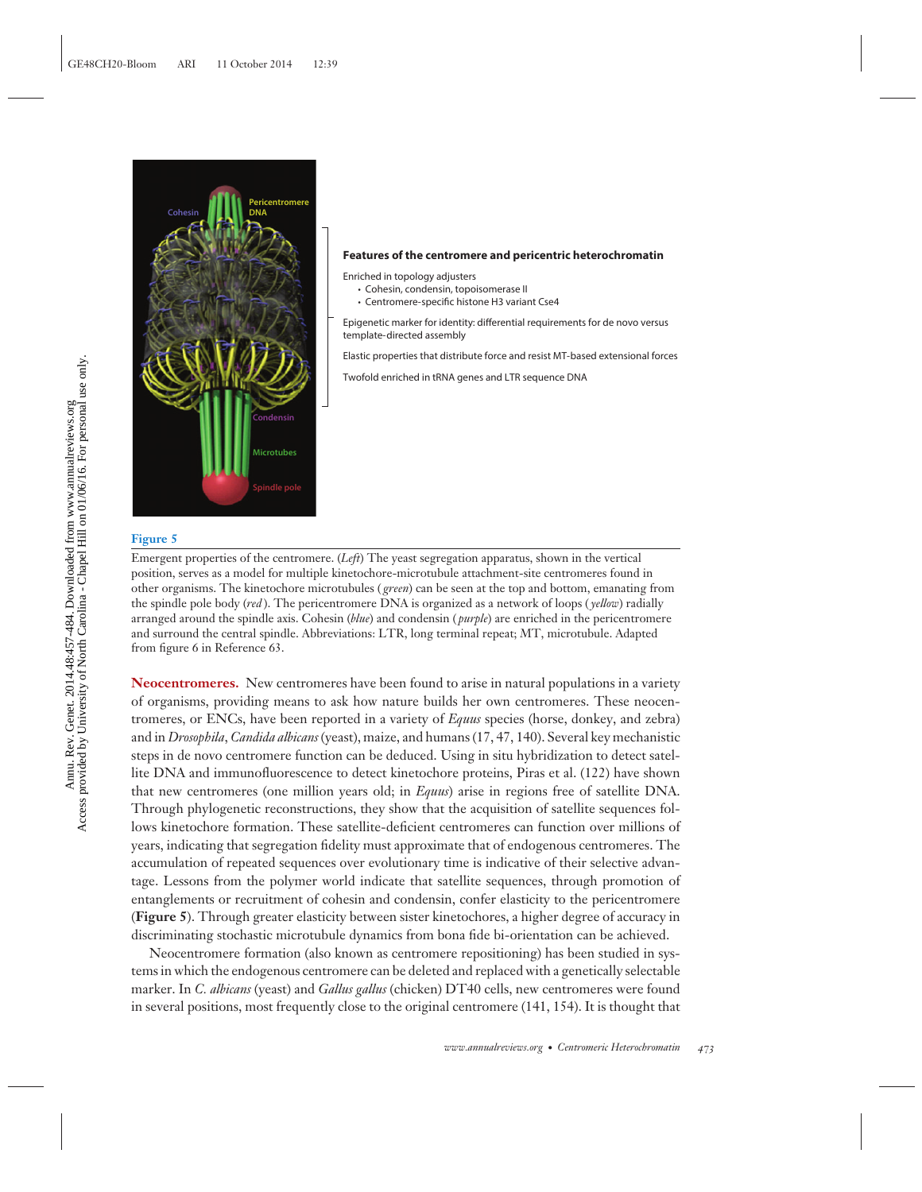

#### **Features of the centromere and pericentric heterochromatin**

Enriched in topology adjusters

- Cohesin, condensin, topoisomerase II
- Centromere-specific histone H3 variant Cse4

Epigenetic marker for identity: differential requirements for de novo versus template-directed assembly

Elastic properties that distribute force and resist MT-based extensional forces

Twofold enriched in tRNA genes and LTR sequence DNA

# **Figure 5**

Emergent properties of the centromere. (*Left*) The yeast segregation apparatus, shown in the vertical position, serves as a model for multiple kinetochore-microtubule attachment-site centromeres found in other organisms. The kinetochore microtubules ( *green*) can be seen at the top and bottom, emanating from the spindle pole body (*red* ). The pericentromere DNA is organized as a network of loops ( *yellow*) radially arranged around the spindle axis. Cohesin (*blue*) and condensin ( *purple*) are enriched in the pericentromere and surround the central spindle. Abbreviations: LTR, long terminal repeat; MT, microtubule. Adapted from figure 6 in Reference 63.

**Neocentromeres.** New centromeres have been found to arise in natural populations in a variety of organisms, providing means to ask how nature builds her own centromeres. These neocentromeres, or ENCs, have been reported in a variety of *Equus* species (horse, donkey, and zebra) and in *Drosophila*, *Candida albicans* (yeast), maize, and humans (17, 47, 140). Several key mechanistic steps in de novo centromere function can be deduced. Using in situ hybridization to detect satellite DNA and immunofluorescence to detect kinetochore proteins, Piras et al. (122) have shown that new centromeres (one million years old; in *Equus*) arise in regions free of satellite DNA. Through phylogenetic reconstructions, they show that the acquisition of satellite sequences follows kinetochore formation. These satellite-deficient centromeres can function over millions of years, indicating that segregation fidelity must approximate that of endogenous centromeres. The accumulation of repeated sequences over evolutionary time is indicative of their selective advantage. Lessons from the polymer world indicate that satellite sequences, through promotion of entanglements or recruitment of cohesin and condensin, confer elasticity to the pericentromere (**Figure 5**). Through greater elasticity between sister kinetochores, a higher degree of accuracy in discriminating stochastic microtubule dynamics from bona fide bi-orientation can be achieved.

Neocentromere formation (also known as centromere repositioning) has been studied in systems in which the endogenous centromere can be deleted and replaced with a genetically selectable marker. In *C. albicans* (yeast) and *Gallus gallus* (chicken) DT40 cells, new centromeres were found in several positions, most frequently close to the original centromere (141, 154). It is thought that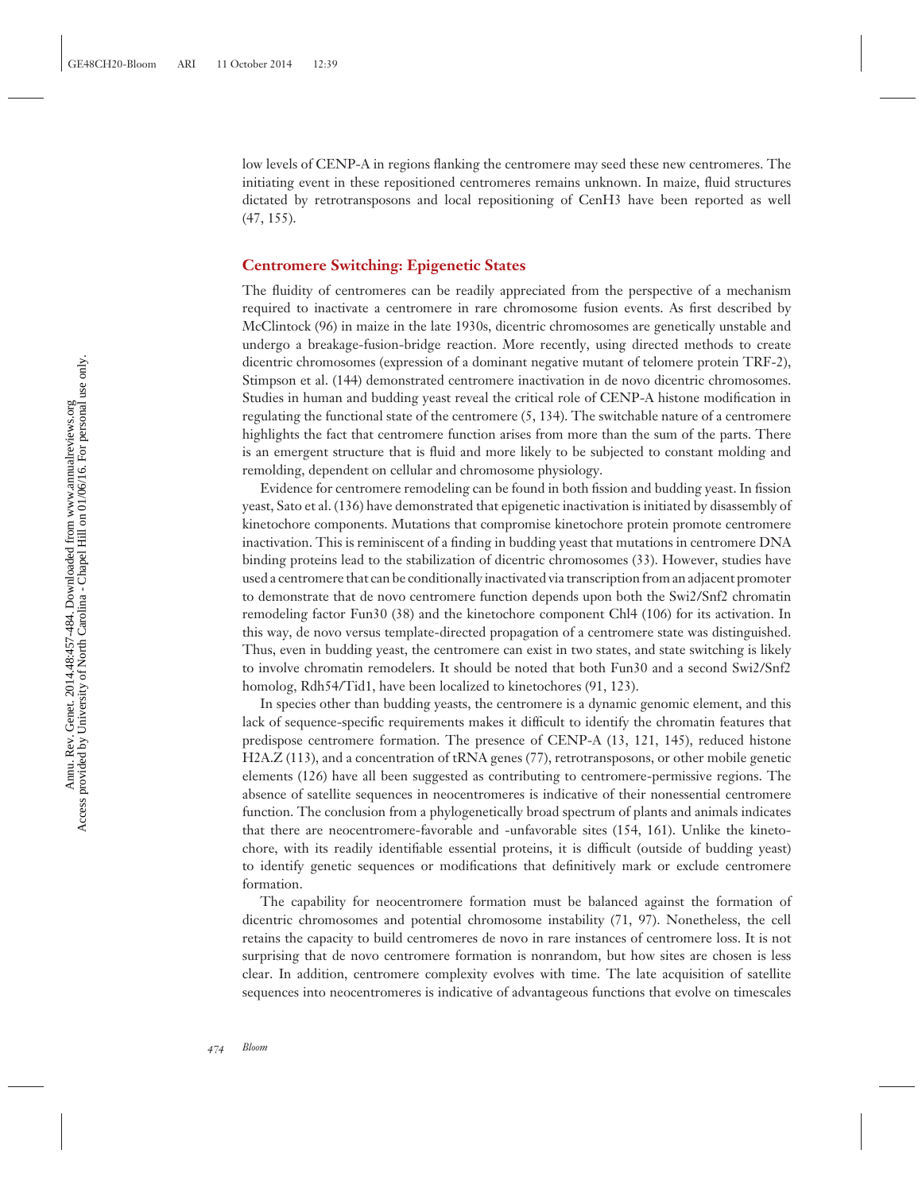low levels of CENP-A in regions flanking the centromere may seed these new centromeres. The initiating event in these repositioned centromeres remains unknown. In maize, fluid structures dictated by retrotransposons and local repositioning of CenH3 have been reported as well (47, 155).

#### **Centromere Switching: Epigenetic States**

The fluidity of centromeres can be readily appreciated from the perspective of a mechanism required to inactivate a centromere in rare chromosome fusion events. As first described by McClintock (96) in maize in the late 1930s, dicentric chromosomes are genetically unstable and undergo a breakage-fusion-bridge reaction. More recently, using directed methods to create dicentric chromosomes (expression of a dominant negative mutant of telomere protein TRF-2), Stimpson et al. (144) demonstrated centromere inactivation in de novo dicentric chromosomes. Studies in human and budding yeast reveal the critical role of CENP-A histone modification in regulating the functional state of the centromere (5, 134). The switchable nature of a centromere highlights the fact that centromere function arises from more than the sum of the parts. There is an emergent structure that is fluid and more likely to be subjected to constant molding and remolding, dependent on cellular and chromosome physiology.

Evidence for centromere remodeling can be found in both fission and budding yeast. In fission yeast, Sato et al. (136) have demonstrated that epigenetic inactivation is initiated by disassembly of kinetochore components. Mutations that compromise kinetochore protein promote centromere inactivation. This is reminiscent of a finding in budding yeast that mutations in centromere DNA binding proteins lead to the stabilization of dicentric chromosomes (33). However, studies have used a centromere that can be conditionally inactivated via transcription from an adjacent promoter to demonstrate that de novo centromere function depends upon both the Swi2/Snf2 chromatin remodeling factor Fun30 (38) and the kinetochore component Chl4 (106) for its activation. In this way, de novo versus template-directed propagation of a centromere state was distinguished. Thus, even in budding yeast, the centromere can exist in two states, and state switching is likely to involve chromatin remodelers. It should be noted that both Fun30 and a second Swi2/Snf2 homolog, Rdh54/Tid1, have been localized to kinetochores (91, 123).

In species other than budding yeasts, the centromere is a dynamic genomic element, and this lack of sequence-specific requirements makes it difficult to identify the chromatin features that predispose centromere formation. The presence of CENP-A (13, 121, 145), reduced histone H2A.Z (113), and a concentration of tRNA genes (77), retrotransposons, or other mobile genetic elements (126) have all been suggested as contributing to centromere-permissive regions. The absence of satellite sequences in neocentromeres is indicative of their nonessential centromere function. The conclusion from a phylogenetically broad spectrum of plants and animals indicates that there are neocentromere-favorable and -unfavorable sites (154, 161). Unlike the kinetochore, with its readily identifiable essential proteins, it is difficult (outside of budding yeast) to identify genetic sequences or modifications that definitively mark or exclude centromere formation.

The capability for neocentromere formation must be balanced against the formation of dicentric chromosomes and potential chromosome instability (71, 97). Nonetheless, the cell retains the capacity to build centromeres de novo in rare instances of centromere loss. It is not surprising that de novo centromere formation is nonrandom, but how sites are chosen is less clear. In addition, centromere complexity evolves with time. The late acquisition of satellite sequences into neocentromeres is indicative of advantageous functions that evolve on timescales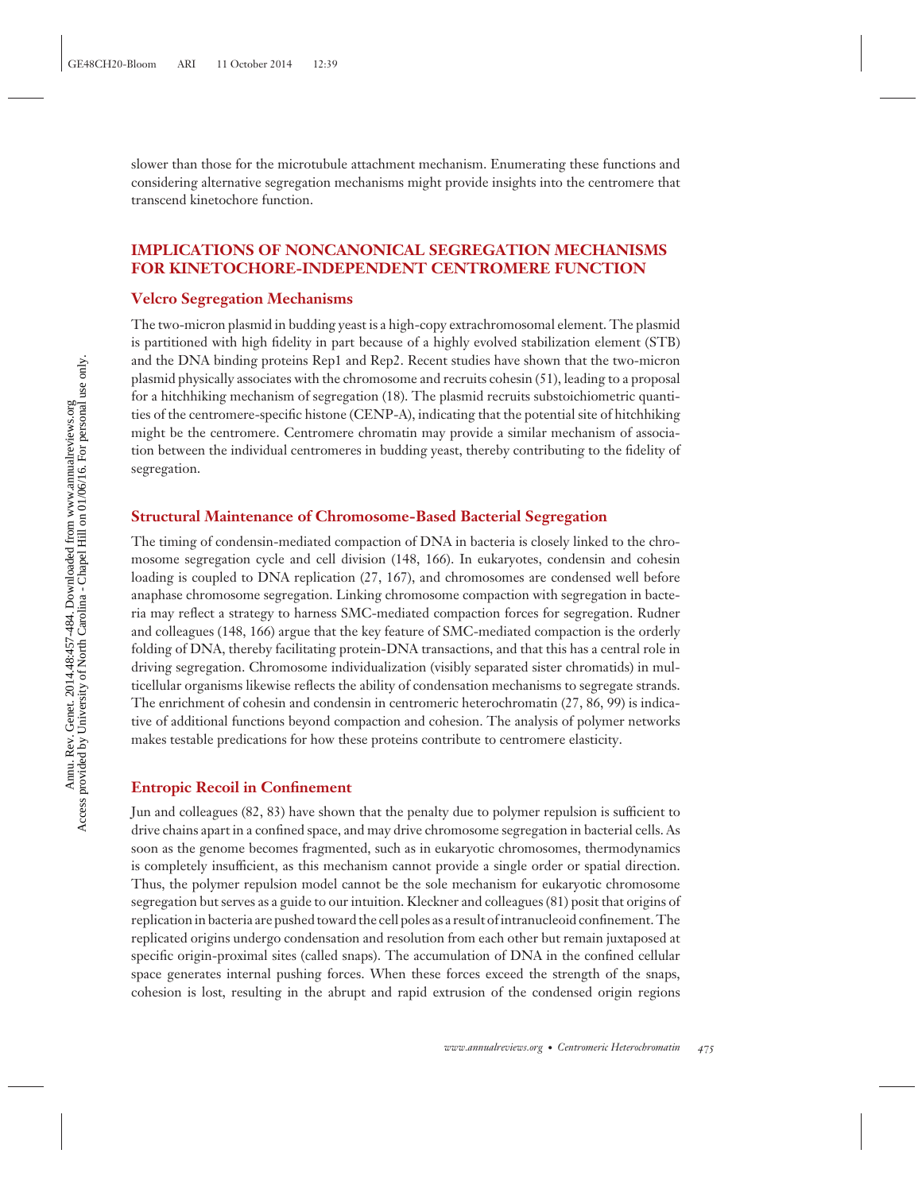slower than those for the microtubule attachment mechanism. Enumerating these functions and considering alternative segregation mechanisms might provide insights into the centromere that transcend kinetochore function.

# **IMPLICATIONS OF NONCANONICAL SEGREGATION MECHANISMS FOR KINETOCHORE-INDEPENDENT CENTROMERE FUNCTION**

#### **Velcro Segregation Mechanisms**

The two-micron plasmid in budding yeast is a high-copy extrachromosomal element. The plasmid is partitioned with high fidelity in part because of a highly evolved stabilization element (STB) and the DNA binding proteins Rep1 and Rep2. Recent studies have shown that the two-micron plasmid physically associates with the chromosome and recruits cohesin (51), leading to a proposal for a hitchhiking mechanism of segregation (18). The plasmid recruits substoichiometric quantities of the centromere-specific histone (CENP-A), indicating that the potential site of hitchhiking might be the centromere. Centromere chromatin may provide a similar mechanism of association between the individual centromeres in budding yeast, thereby contributing to the fidelity of segregation.

### **Structural Maintenance of Chromosome-Based Bacterial Segregation**

The timing of condensin-mediated compaction of DNA in bacteria is closely linked to the chromosome segregation cycle and cell division (148, 166). In eukaryotes, condensin and cohesin loading is coupled to DNA replication (27, 167), and chromosomes are condensed well before anaphase chromosome segregation. Linking chromosome compaction with segregation in bacteria may reflect a strategy to harness SMC-mediated compaction forces for segregation. Rudner and colleagues (148, 166) argue that the key feature of SMC-mediated compaction is the orderly folding of DNA, thereby facilitating protein-DNA transactions, and that this has a central role in driving segregation. Chromosome individualization (visibly separated sister chromatids) in multicellular organisms likewise reflects the ability of condensation mechanisms to segregate strands. The enrichment of cohesin and condensin in centromeric heterochromatin (27, 86, 99) is indicative of additional functions beyond compaction and cohesion. The analysis of polymer networks makes testable predications for how these proteins contribute to centromere elasticity.

#### **Entropic Recoil in Confinement**

Jun and colleagues (82, 83) have shown that the penalty due to polymer repulsion is sufficient to drive chains apart in a confined space, and may drive chromosome segregation in bacterial cells. As soon as the genome becomes fragmented, such as in eukaryotic chromosomes, thermodynamics is completely insufficient, as this mechanism cannot provide a single order or spatial direction. Thus, the polymer repulsion model cannot be the sole mechanism for eukaryotic chromosome segregation but serves as a guide to our intuition. Kleckner and colleagues (81) posit that origins of replication in bacteria are pushed toward the cell poles as a result of intranucleoid confinement. The replicated origins undergo condensation and resolution from each other but remain juxtaposed at specific origin-proximal sites (called snaps). The accumulation of DNA in the confined cellular space generates internal pushing forces. When these forces exceed the strength of the snaps, cohesion is lost, resulting in the abrupt and rapid extrusion of the condensed origin regions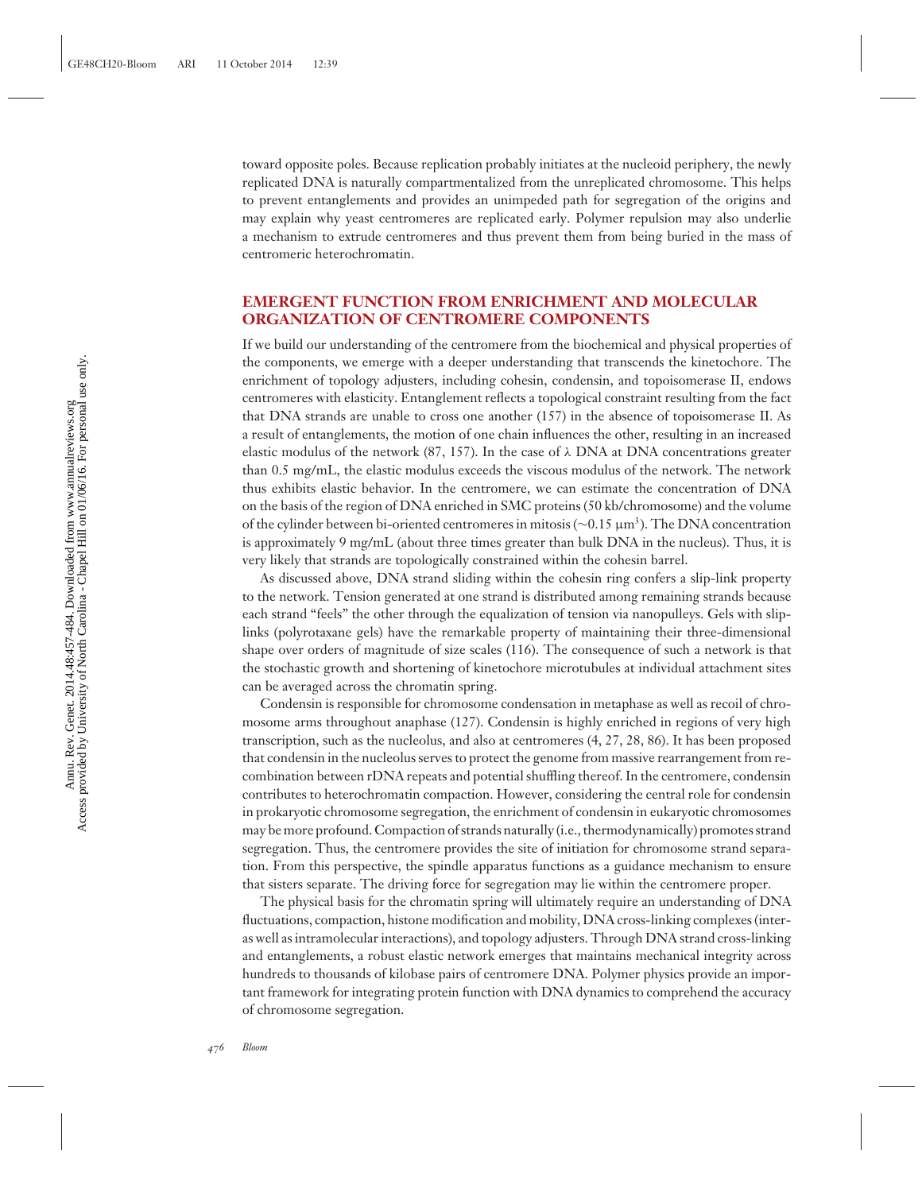toward opposite poles. Because replication probably initiates at the nucleoid periphery, the newly replicated DNA is naturally compartmentalized from the unreplicated chromosome. This helps to prevent entanglements and provides an unimpeded path for segregation of the origins and may explain why yeast centromeres are replicated early. Polymer repulsion may also underlie a mechanism to extrude centromeres and thus prevent them from being buried in the mass of centromeric heterochromatin.

# **EMERGENT FUNCTION FROM ENRICHMENT AND MOLECULAR ORGANIZATION OF CENTROMERE COMPONENTS**

If we build our understanding of the centromere from the biochemical and physical properties of the components, we emerge with a deeper understanding that transcends the kinetochore. The enrichment of topology adjusters, including cohesin, condensin, and topoisomerase II, endows centromeres with elasticity. Entanglement reflects a topological constraint resulting from the fact that DNA strands are unable to cross one another (157) in the absence of topoisomerase II. As a result of entanglements, the motion of one chain influences the other, resulting in an increased elastic modulus of the network (87, 157). In the case of  $\lambda$  DNA at DNA concentrations greater than 0.5 mg/mL, the elastic modulus exceeds the viscous modulus of the network. The network thus exhibits elastic behavior. In the centromere, we can estimate the concentration of DNA on the basis of the region of DNA enriched in SMC proteins (50 kb/chromosome) and the volume of the cylinder between bi-oriented centromeres in mitosis (∼0.15 μm3). The DNA concentration is approximately 9 mg/mL (about three times greater than bulk DNA in the nucleus). Thus, it is very likely that strands are topologically constrained within the cohesin barrel.

As discussed above, DNA strand sliding within the cohesin ring confers a slip-link property to the network. Tension generated at one strand is distributed among remaining strands because each strand "feels" the other through the equalization of tension via nanopulleys. Gels with sliplinks (polyrotaxane gels) have the remarkable property of maintaining their three-dimensional shape over orders of magnitude of size scales (116). The consequence of such a network is that the stochastic growth and shortening of kinetochore microtubules at individual attachment sites can be averaged across the chromatin spring.

Condensin is responsible for chromosome condensation in metaphase as well as recoil of chromosome arms throughout anaphase (127). Condensin is highly enriched in regions of very high transcription, such as the nucleolus, and also at centromeres (4, 27, 28, 86). It has been proposed that condensin in the nucleolus serves to protect the genome from massive rearrangement from recombination between rDNA repeats and potential shuffling thereof. In the centromere, condensin contributes to heterochromatin compaction. However, considering the central role for condensin in prokaryotic chromosome segregation, the enrichment of condensin in eukaryotic chromosomes may be more profound. Compaction of strands naturally (i.e., thermodynamically) promotes strand segregation. Thus, the centromere provides the site of initiation for chromosome strand separation. From this perspective, the spindle apparatus functions as a guidance mechanism to ensure that sisters separate. The driving force for segregation may lie within the centromere proper.

The physical basis for the chromatin spring will ultimately require an understanding of DNA fluctuations, compaction, histone modification and mobility, DNA cross-linking complexes (interas well as intramolecular interactions), and topology adjusters. Through DNA strand cross-linking and entanglements, a robust elastic network emerges that maintains mechanical integrity across hundreds to thousands of kilobase pairs of centromere DNA. Polymer physics provide an important framework for integrating protein function with DNA dynamics to comprehend the accuracy of chromosome segregation.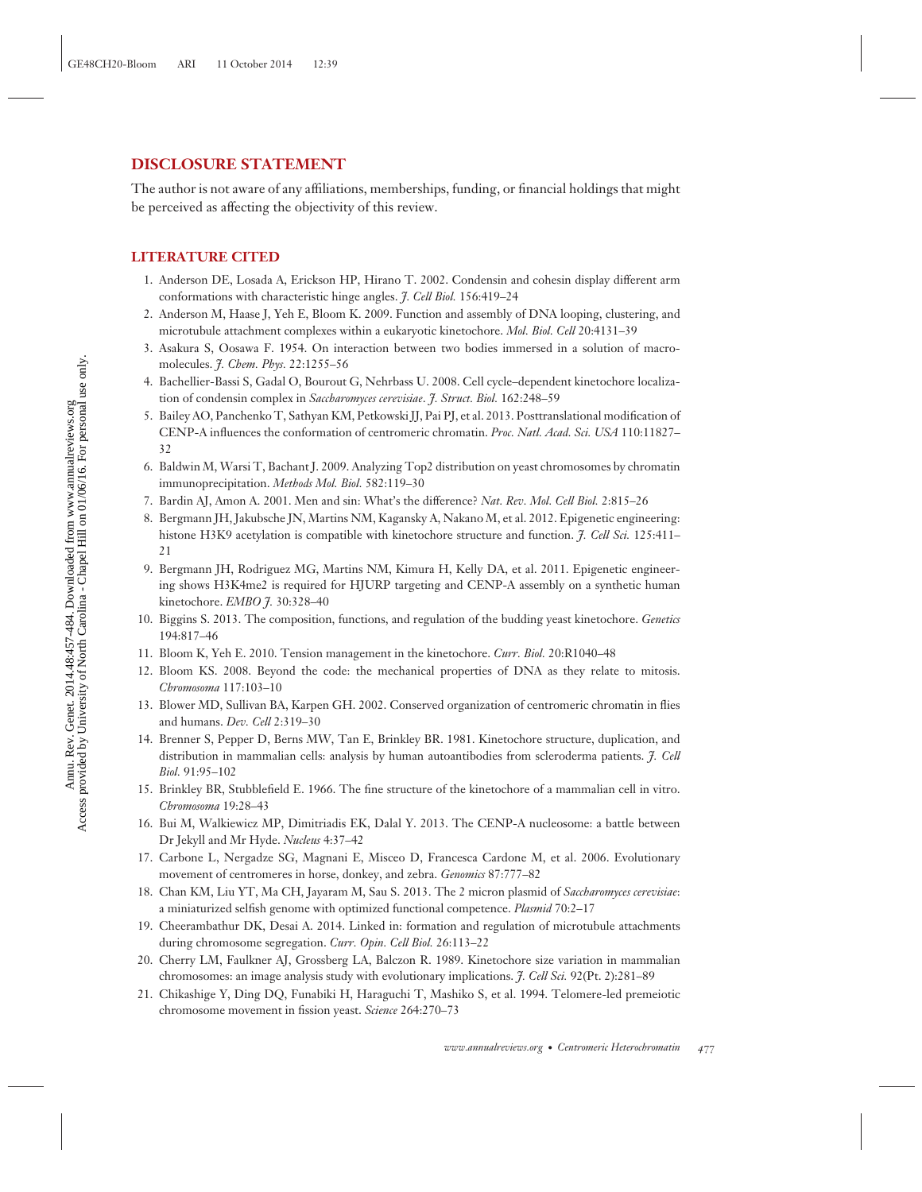## **DISCLOSURE STATEMENT**

The author is not aware of any affiliations, memberships, funding, or financial holdings that might be perceived as affecting the objectivity of this review.

### **LITERATURE CITED**

- 1. Anderson DE, Losada A, Erickson HP, Hirano T. 2002. Condensin and cohesin display different arm conformations with characteristic hinge angles. *J. Cell Biol.* 156:419–24
- 2. Anderson M, Haase J, Yeh E, Bloom K. 2009. Function and assembly of DNA looping, clustering, and microtubule attachment complexes within a eukaryotic kinetochore. *Mol. Biol. Cell* 20:4131–39
- 3. Asakura S, Oosawa F. 1954. On interaction between two bodies immersed in a solution of macromolecules. *J. Chem. Phys.* 22:1255–56
- 4. Bachellier-Bassi S, Gadal O, Bourout G, Nehrbass U. 2008. Cell cycle–dependent kinetochore localization of condensin complex in *Saccharomyces cerevisiae*. *J. Struct. Biol.* 162:248–59
- 5. Bailey AO, Panchenko T, Sathyan KM, Petkowski JJ, Pai PJ, et al. 2013. Posttranslational modification of CENP-A influences the conformation of centromeric chromatin. *Proc. Natl. Acad. Sci. USA* 110:11827– 32
- 6. Baldwin M, Warsi T, Bachant J. 2009. Analyzing Top2 distribution on yeast chromosomes by chromatin immunoprecipitation. *Methods Mol. Biol.* 582:119–30
- 7. Bardin AJ, Amon A. 2001. Men and sin: What's the difference? *Nat. Rev. Mol. Cell Biol.* 2:815–26
- 8. Bergmann JH, Jakubsche JN, Martins NM, Kagansky A, Nakano M, et al. 2012. Epigenetic engineering: histone H3K9 acetylation is compatible with kinetochore structure and function. *J. Cell Sci.* 125:411– 21
- 9. Bergmann JH, Rodriguez MG, Martins NM, Kimura H, Kelly DA, et al. 2011. Epigenetic engineering shows H3K4me2 is required for HJURP targeting and CENP-A assembly on a synthetic human kinetochore. *EMBO J.* 30:328–40
- 10. Biggins S. 2013. The composition, functions, and regulation of the budding yeast kinetochore. *Genetics* 194:817–46
- 11. Bloom K, Yeh E. 2010. Tension management in the kinetochore. *Curr. Biol.* 20:R1040–48
- 12. Bloom KS. 2008. Beyond the code: the mechanical properties of DNA as they relate to mitosis. *Chromosoma* 117:103–10
- 13. Blower MD, Sullivan BA, Karpen GH. 2002. Conserved organization of centromeric chromatin in flies and humans. *Dev. Cell* 2:319–30
- 14. Brenner S, Pepper D, Berns MW, Tan E, Brinkley BR. 1981. Kinetochore structure, duplication, and distribution in mammalian cells: analysis by human autoantibodies from scleroderma patients. *J. Cell Biol.* 91:95–102
- 15. Brinkley BR, Stubblefield E. 1966. The fine structure of the kinetochore of a mammalian cell in vitro. *Chromosoma* 19:28–43
- 16. Bui M, Walkiewicz MP, Dimitriadis EK, Dalal Y. 2013. The CENP-A nucleosome: a battle between Dr Jekyll and Mr Hyde. *Nucleus* 4:37–42
- 17. Carbone L, Nergadze SG, Magnani E, Misceo D, Francesca Cardone M, et al. 2006. Evolutionary movement of centromeres in horse, donkey, and zebra. *Genomics* 87:777–82
- 18. Chan KM, Liu YT, Ma CH, Jayaram M, Sau S. 2013. The 2 micron plasmid of *Saccharomyces cerevisiae*: a miniaturized selfish genome with optimized functional competence. *Plasmid* 70:2–17
- 19. Cheerambathur DK, Desai A. 2014. Linked in: formation and regulation of microtubule attachments during chromosome segregation. *Curr. Opin. Cell Biol.* 26:113–22
- 20. Cherry LM, Faulkner AJ, Grossberg LA, Balczon R. 1989. Kinetochore size variation in mammalian chromosomes: an image analysis study with evolutionary implications. *J. Cell Sci.* 92(Pt. 2):281–89
- 21. Chikashige Y, Ding DQ, Funabiki H, Haraguchi T, Mashiko S, et al. 1994. Telomere-led premeiotic chromosome movement in fission yeast. *Science* 264:270–73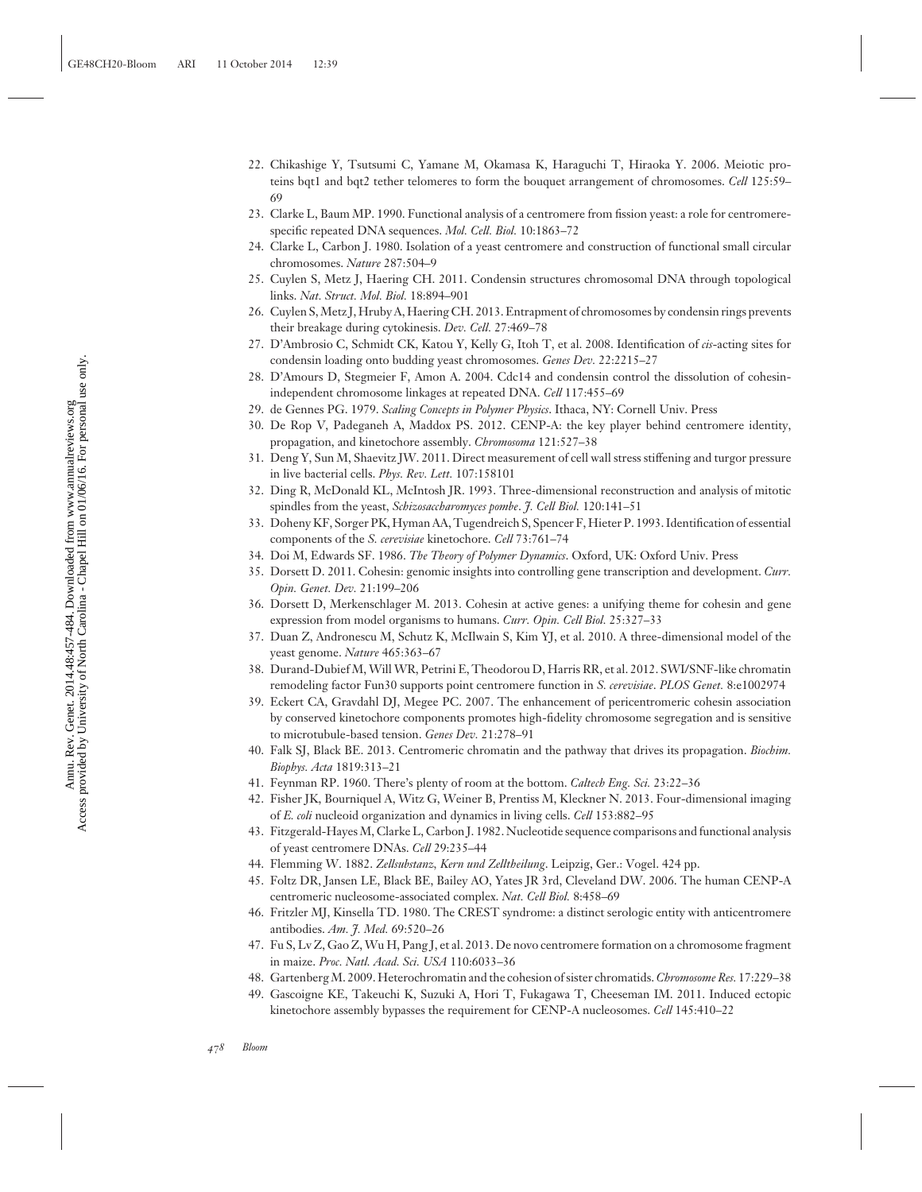- 22. Chikashige Y, Tsutsumi C, Yamane M, Okamasa K, Haraguchi T, Hiraoka Y. 2006. Meiotic proteins bqt1 and bqt2 tether telomeres to form the bouquet arrangement of chromosomes. *Cell* 125:59– 69
- 23. Clarke L, Baum MP. 1990. Functional analysis of a centromere from fission yeast: a role for centromerespecific repeated DNA sequences. *Mol. Cell. Biol.* 10:1863–72
- 24. Clarke L, Carbon J. 1980. Isolation of a yeast centromere and construction of functional small circular chromosomes. *Nature* 287:504–9
- 25. Cuylen S, Metz J, Haering CH. 2011. Condensin structures chromosomal DNA through topological links. *Nat. Struct. Mol. Biol.* 18:894–901
- 26. Cuylen S,Metz J, Hruby A, Haering CH. 2013. Entrapment of chromosomes by condensin rings prevents their breakage during cytokinesis. *Dev. Cell.* 27:469–78
- 27. D'Ambrosio C, Schmidt CK, Katou Y, Kelly G, Itoh T, et al. 2008. Identification of *cis*-acting sites for condensin loading onto budding yeast chromosomes. *Genes Dev.* 22:2215–27
- 28. D'Amours D, Stegmeier F, Amon A. 2004. Cdc14 and condensin control the dissolution of cohesinindependent chromosome linkages at repeated DNA. *Cell* 117:455–69
- 29. de Gennes PG. 1979. *Scaling Concepts in Polymer Physics*. Ithaca, NY: Cornell Univ. Press
- 30. De Rop V, Padeganeh A, Maddox PS. 2012. CENP-A: the key player behind centromere identity, propagation, and kinetochore assembly. *Chromosoma* 121:527–38
- 31. Deng Y, Sun M, Shaevitz JW. 2011. Direct measurement of cell wall stress stiffening and turgor pressure in live bacterial cells. *Phys. Rev. Lett.* 107:158101
- 32. Ding R, McDonald KL, McIntosh JR. 1993. Three-dimensional reconstruction and analysis of mitotic spindles from the yeast, *Schizosaccharomyces pombe*. *J. Cell Biol.* 120:141–51
- 33. Doheny KF, Sorger PK, Hyman AA, Tugendreich S, Spencer F, Hieter P. 1993. Identification of essential components of the *S. cerevisiae* kinetochore. *Cell* 73:761–74
- 34. Doi M, Edwards SF. 1986. *The Theory of Polymer Dynamics*. Oxford, UK: Oxford Univ. Press
- 35. Dorsett D. 2011. Cohesin: genomic insights into controlling gene transcription and development. *Curr. Opin. Genet. Dev.* 21:199–206
- 36. Dorsett D, Merkenschlager M. 2013. Cohesin at active genes: a unifying theme for cohesin and gene expression from model organisms to humans. *Curr. Opin. Cell Biol.* 25:327–33
- 37. Duan Z, Andronescu M, Schutz K, McIlwain S, Kim YJ, et al. 2010. A three-dimensional model of the yeast genome. *Nature* 465:363–67
- 38. Durand-Dubief M,WillWR, Petrini E, Theodorou D, Harris RR, et al. 2012. SWI/SNF-like chromatin remodeling factor Fun30 supports point centromere function in *S. cerevisiae*. *PLOS Genet.* 8:e1002974
- 39. Eckert CA, Gravdahl DJ, Megee PC. 2007. The enhancement of pericentromeric cohesin association by conserved kinetochore components promotes high-fidelity chromosome segregation and is sensitive to microtubule-based tension. *Genes Dev.* 21:278–91
- 40. Falk SJ, Black BE. 2013. Centromeric chromatin and the pathway that drives its propagation. *Biochim. Biophys. Acta* 1819:313–21
- 41. Feynman RP. 1960. There's plenty of room at the bottom. *Caltech Eng. Sci.* 23:22–36
- 42. Fisher JK, Bourniquel A, Witz G, Weiner B, Prentiss M, Kleckner N. 2013. Four-dimensional imaging of *E. coli* nucleoid organization and dynamics in living cells. *Cell* 153:882–95
- 43. Fitzgerald-Hayes M, Clarke L, Carbon J. 1982. Nucleotide sequence comparisons and functional analysis of yeast centromere DNAs. *Cell* 29:235–44
- 44. Flemming W. 1882. *Zellsubstanz, Kern und Zelltheilung*. Leipzig, Ger.: Vogel. 424 pp.
- 45. Foltz DR, Jansen LE, Black BE, Bailey AO, Yates JR 3rd, Cleveland DW. 2006. The human CENP-A centromeric nucleosome-associated complex. *Nat. Cell Biol.* 8:458–69
- 46. Fritzler MJ, Kinsella TD. 1980. The CREST syndrome: a distinct serologic entity with anticentromere antibodies. *Am. J. Med.* 69:520–26
- 47. Fu S, Lv Z, Gao Z,Wu H, Pang J, et al. 2013. De novo centromere formation on a chromosome fragment in maize. *Proc. Natl. Acad. Sci. USA* 110:6033–36
- 48. Gartenberg M. 2009. Heterochromatin and the cohesion of sister chromatids.*Chromosome Res.* 17:229–38
- 49. Gascoigne KE, Takeuchi K, Suzuki A, Hori T, Fukagawa T, Cheeseman IM. 2011. Induced ectopic kinetochore assembly bypasses the requirement for CENP-A nucleosomes. *Cell* 145:410–22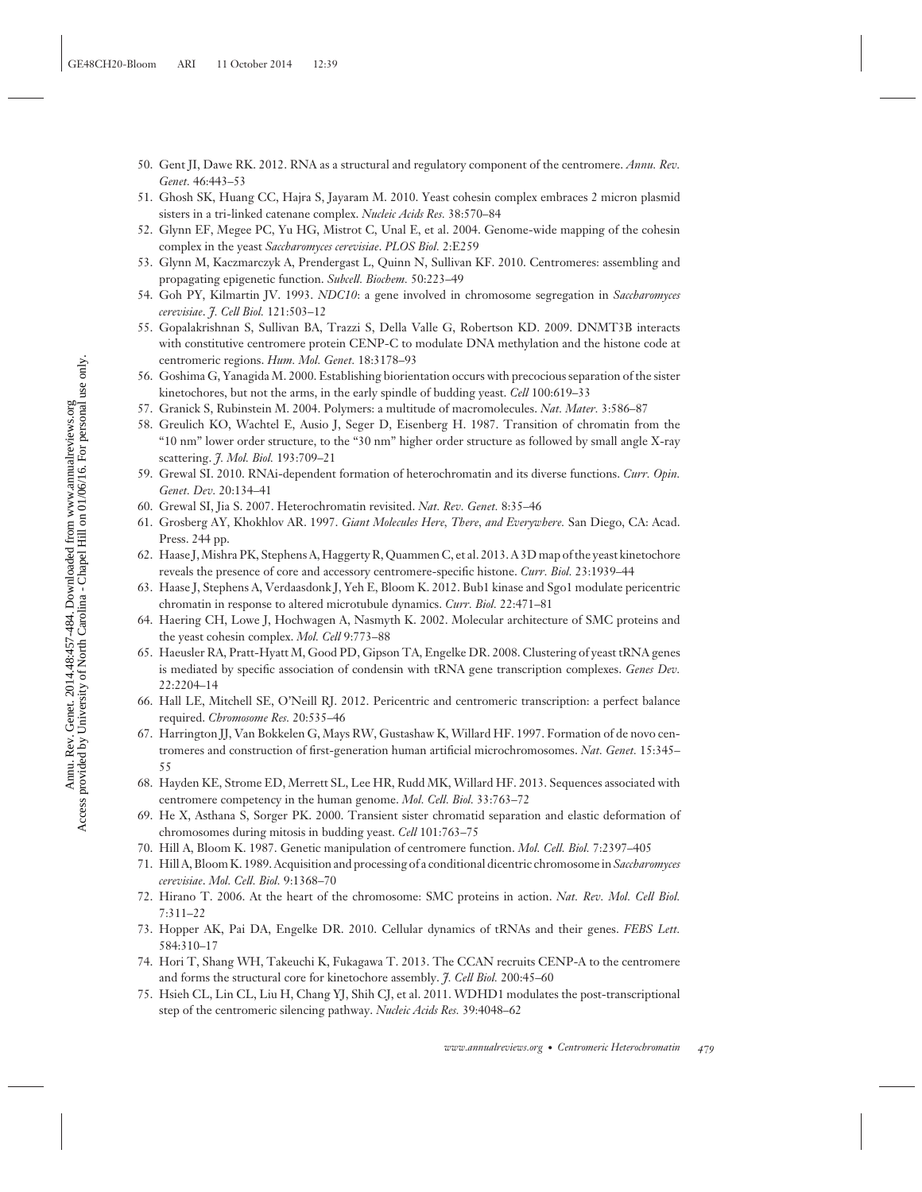- 50. Gent JI, Dawe RK. 2012. RNA as a structural and regulatory component of the centromere. *Annu. Rev. Genet.* 46:443–53
- 51. Ghosh SK, Huang CC, Hajra S, Jayaram M. 2010. Yeast cohesin complex embraces 2 micron plasmid sisters in a tri-linked catenane complex. *Nucleic Acids Res.* 38:570–84
- 52. Glynn EF, Megee PC, Yu HG, Mistrot C, Unal E, et al. 2004. Genome-wide mapping of the cohesin complex in the yeast *Saccharomyces cerevisiae*. *PLOS Biol.* 2:E259
- 53. Glynn M, Kaczmarczyk A, Prendergast L, Quinn N, Sullivan KF. 2010. Centromeres: assembling and propagating epigenetic function. *Subcell. Biochem.* 50:223–49
- 54. Goh PY, Kilmartin JV. 1993. *NDC10*: a gene involved in chromosome segregation in *Saccharomyces cerevisiae*. *J. Cell Biol.* 121:503–12
- 55. Gopalakrishnan S, Sullivan BA, Trazzi S, Della Valle G, Robertson KD. 2009. DNMT3B interacts with constitutive centromere protein CENP-C to modulate DNA methylation and the histone code at centromeric regions. *Hum. Mol. Genet.* 18:3178–93
- 56. Goshima G, Yanagida M. 2000. Establishing biorientation occurs with precocious separation of the sister kinetochores, but not the arms, in the early spindle of budding yeast. *Cell* 100:619–33
- 57. Granick S, Rubinstein M. 2004. Polymers: a multitude of macromolecules. *Nat. Mater.* 3:586–87
- 58. Greulich KO, Wachtel E, Ausio J, Seger D, Eisenberg H. 1987. Transition of chromatin from the "10 nm" lower order structure, to the "30 nm" higher order structure as followed by small angle X-ray scattering. *J. Mol. Biol.* 193:709–21
- 59. Grewal SI. 2010. RNAi-dependent formation of heterochromatin and its diverse functions. *Curr. Opin. Genet. Dev.* 20:134–41
- 60. Grewal SI, Jia S. 2007. Heterochromatin revisited. *Nat. Rev. Genet.* 8:35–46
- 61. Grosberg AY, Khokhlov AR. 1997. *Giant Molecules Here, There, and Everywhere.* San Diego, CA: Acad. Press. 244 pp.
- 62. Haase J,Mishra PK, Stephens A, Haggerty R, Quammen C, et al. 2013. A 3D map of the yeast kinetochore reveals the presence of core and accessory centromere-specific histone. *Curr. Biol.* 23:1939–44
- 63. Haase J, Stephens A, Verdaasdonk J, Yeh E, Bloom K. 2012. Bub1 kinase and Sgo1 modulate pericentric chromatin in response to altered microtubule dynamics. *Curr. Biol.* 22:471–81
- 64. Haering CH, Lowe J, Hochwagen A, Nasmyth K. 2002. Molecular architecture of SMC proteins and the yeast cohesin complex. *Mol. Cell* 9:773–88
- 65. Haeusler RA, Pratt-Hyatt M, Good PD, Gipson TA, Engelke DR. 2008. Clustering of yeast tRNA genes is mediated by specific association of condensin with tRNA gene transcription complexes. *Genes Dev.* 22:2204–14
- 66. Hall LE, Mitchell SE, O'Neill RJ. 2012. Pericentric and centromeric transcription: a perfect balance required. *Chromosome Res.* 20:535–46
- 67. Harrington JJ, Van Bokkelen G, Mays RW, Gustashaw K, Willard HF. 1997. Formation of de novo centromeres and construction of first-generation human artificial microchromosomes. *Nat. Genet.* 15:345– 55
- 68. Hayden KE, Strome ED, Merrett SL, Lee HR, Rudd MK, Willard HF. 2013. Sequences associated with centromere competency in the human genome. *Mol. Cell. Biol.* 33:763–72
- 69. He X, Asthana S, Sorger PK. 2000. Transient sister chromatid separation and elastic deformation of chromosomes during mitosis in budding yeast. *Cell* 101:763–75
- 70. Hill A, Bloom K. 1987. Genetic manipulation of centromere function. *Mol. Cell. Biol.* 7:2397–405
- 71. Hill A, Bloom K. 1989. Acquisition and processing of a conditional dicentric chromosome in *Saccharomyces cerevisiae*. *Mol. Cell. Biol.* 9:1368–70
- 72. Hirano T. 2006. At the heart of the chromosome: SMC proteins in action. *Nat. Rev. Mol. Cell Biol.* 7:311–22
- 73. Hopper AK, Pai DA, Engelke DR. 2010. Cellular dynamics of tRNAs and their genes. *FEBS Lett.* 584:310–17
- 74. Hori T, Shang WH, Takeuchi K, Fukagawa T. 2013. The CCAN recruits CENP-A to the centromere and forms the structural core for kinetochore assembly. *J. Cell Biol.* 200:45–60
- 75. Hsieh CL, Lin CL, Liu H, Chang YJ, Shih CJ, et al. 2011. WDHD1 modulates the post-transcriptional step of the centromeric silencing pathway. *Nucleic Acids Res.* 39:4048–62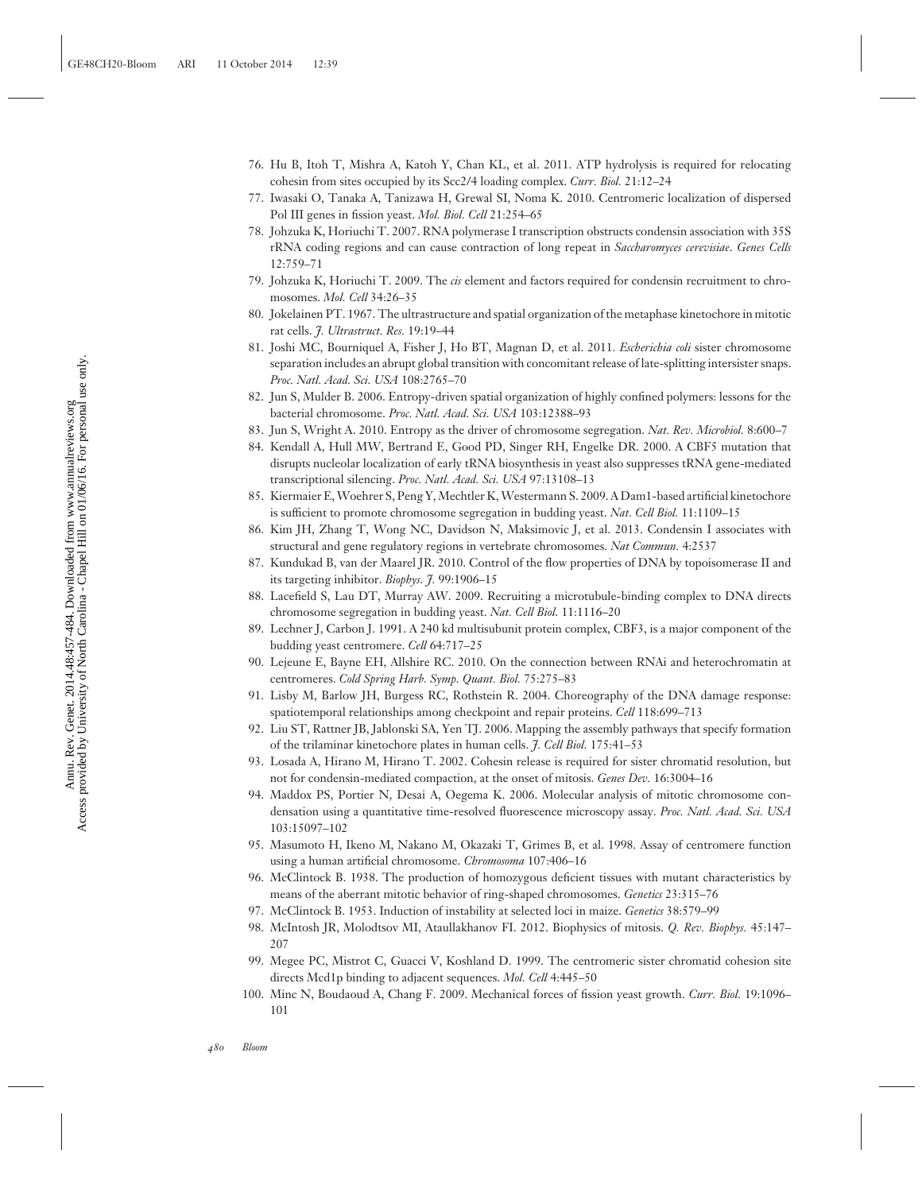- 76. Hu B, Itoh T, Mishra A, Katoh Y, Chan KL, et al. 2011. ATP hydrolysis is required for relocating cohesin from sites occupied by its Scc2/4 loading complex. *Curr. Biol.* 21:12–24
- 77. Iwasaki O, Tanaka A, Tanizawa H, Grewal SI, Noma K. 2010. Centromeric localization of dispersed Pol III genes in fission yeast. *Mol. Biol. Cell* 21:254–65
- 78. Johzuka K, Horiuchi T. 2007. RNA polymerase I transcription obstructs condensin association with 35S rRNA coding regions and can cause contraction of long repeat in *Saccharomyces cerevisiae*. *Genes Cells* 12:759–71
- 79. Johzuka K, Horiuchi T. 2009. The *cis* element and factors required for condensin recruitment to chromosomes. *Mol. Cell* 34:26–35
- 80. Jokelainen PT. 1967. The ultrastructure and spatial organization of the metaphase kinetochore in mitotic rat cells. *J. Ultrastruct. Res.* 19:19–44
- 81. Joshi MC, Bourniquel A, Fisher J, Ho BT, Magnan D, et al. 2011. *Escherichia coli* sister chromosome separation includes an abrupt global transition with concomitant release of late-splitting intersister snaps. *Proc. Natl. Acad. Sci. USA* 108:2765–70
- 82. Jun S, Mulder B. 2006. Entropy-driven spatial organization of highly confined polymers: lessons for the bacterial chromosome. *Proc. Natl. Acad. Sci. USA* 103:12388–93
- 83. Jun S, Wright A. 2010. Entropy as the driver of chromosome segregation. *Nat. Rev. Microbiol.* 8:600–7
- 84. Kendall A, Hull MW, Bertrand E, Good PD, Singer RH, Engelke DR. 2000. A CBF5 mutation that disrupts nucleolar localization of early tRNA biosynthesis in yeast also suppresses tRNA gene-mediated transcriptional silencing. *Proc. Natl. Acad. Sci. USA* 97:13108–13
- 85. Kiermaier E, Woehrer S, Peng Y, Mechtler K, Westermann S. 2009. A Dam1-based artificial kinetochore is sufficient to promote chromosome segregation in budding yeast. *Nat. Cell Biol.* 11:1109–15
- 86. Kim JH, Zhang T, Wong NC, Davidson N, Maksimovic J, et al. 2013. Condensin I associates with structural and gene regulatory regions in vertebrate chromosomes. *Nat Commun.* 4:2537
- 87. Kundukad B, van der Maarel JR. 2010. Control of the flow properties of DNA by topoisomerase II and its targeting inhibitor. *Biophys. J.* 99:1906–15
- 88. Lacefield S, Lau DT, Murray AW. 2009. Recruiting a microtubule-binding complex to DNA directs chromosome segregation in budding yeast. *Nat. Cell Biol.* 11:1116–20
- 89. Lechner J, Carbon J. 1991. A 240 kd multisubunit protein complex, CBF3, is a major component of the budding yeast centromere. *Cell* 64:717–25
- 90. Lejeune E, Bayne EH, Allshire RC. 2010. On the connection between RNAi and heterochromatin at centromeres. *Cold Spring Harb. Symp. Quant. Biol.* 75:275–83
- 91. Lisby M, Barlow JH, Burgess RC, Rothstein R. 2004. Choreography of the DNA damage response: spatiotemporal relationships among checkpoint and repair proteins. *Cell* 118:699–713
- 92. Liu ST, Rattner JB, Jablonski SA, Yen TJ. 2006. Mapping the assembly pathways that specify formation of the trilaminar kinetochore plates in human cells. *J. Cell Biol.* 175:41–53
- 93. Losada A, Hirano M, Hirano T. 2002. Cohesin release is required for sister chromatid resolution, but not for condensin-mediated compaction, at the onset of mitosis. *Genes Dev.* 16:3004–16
- 94. Maddox PS, Portier N, Desai A, Oegema K. 2006. Molecular analysis of mitotic chromosome condensation using a quantitative time-resolved fluorescence microscopy assay. *Proc. Natl. Acad. Sci. USA* 103:15097–102
- 95. Masumoto H, Ikeno M, Nakano M, Okazaki T, Grimes B, et al. 1998. Assay of centromere function using a human artificial chromosome. *Chromosoma* 107:406–16
- 96. McClintock B. 1938. The production of homozygous deficient tissues with mutant characteristics by means of the aberrant mitotic behavior of ring-shaped chromosomes. *Genetics* 23:315–76
- 97. McClintock B. 1953. Induction of instability at selected loci in maize. *Genetics* 38:579–99
- 98. McIntosh JR, Molodtsov MI, Ataullakhanov FI. 2012. Biophysics of mitosis. *Q. Rev. Biophys.* 45:147– 207
- 99. Megee PC, Mistrot C, Guacci V, Koshland D. 1999. The centromeric sister chromatid cohesion site directs Mcd1p binding to adjacent sequences. *Mol. Cell* 4:445–50
- 100. Minc N, Boudaoud A, Chang F. 2009. Mechanical forces of fission yeast growth. *Curr. Biol.* 19:1096– 101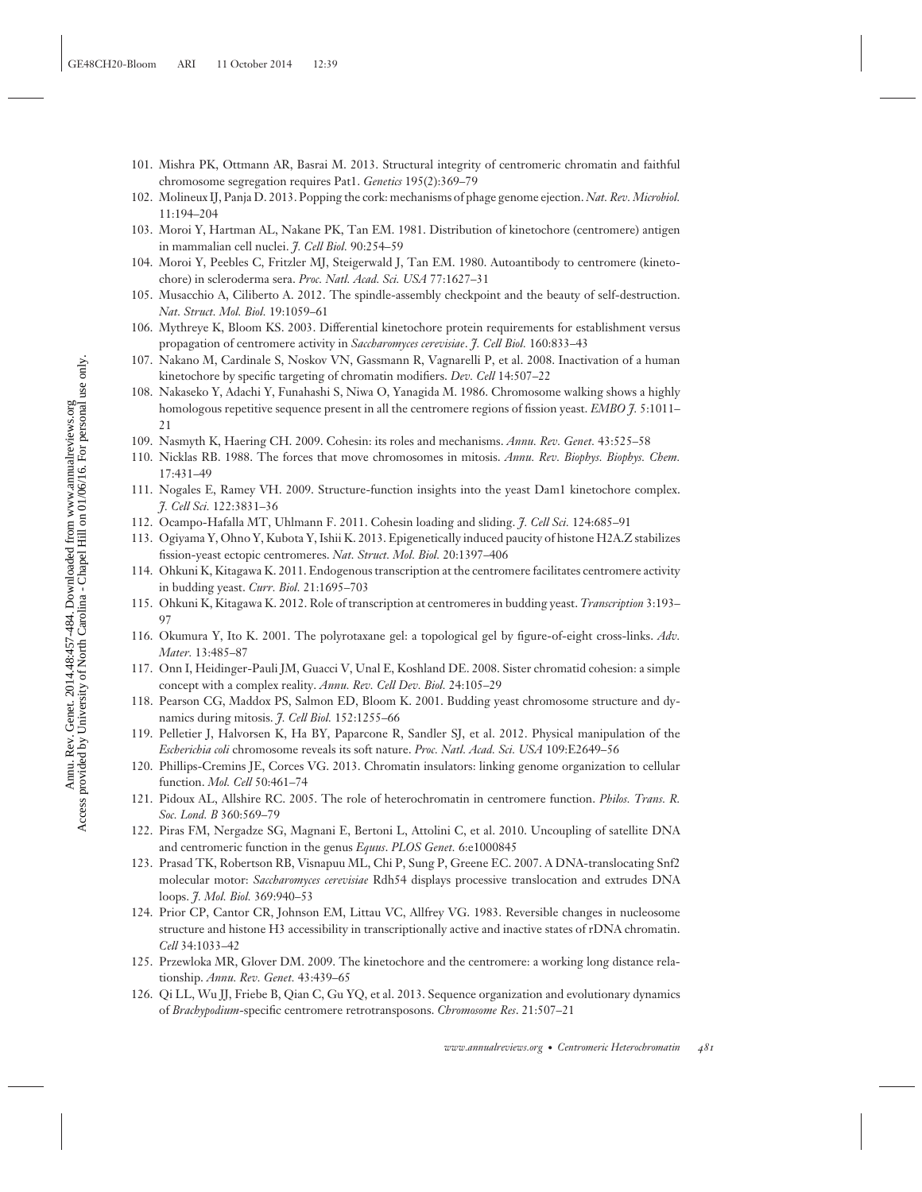- 101. Mishra PK, Ottmann AR, Basrai M. 2013. Structural integrity of centromeric chromatin and faithful chromosome segregation requires Pat1. *Genetics* 195(2):369–79
- 102. Molineux IJ, Panja D. 2013. Popping the cork: mechanisms of phage genome ejection. *Nat. Rev. Microbiol.* 11:194–204
- 103. Moroi Y, Hartman AL, Nakane PK, Tan EM. 1981. Distribution of kinetochore (centromere) antigen in mammalian cell nuclei. *J. Cell Biol.* 90:254–59
- 104. Moroi Y, Peebles C, Fritzler MJ, Steigerwald J, Tan EM. 1980. Autoantibody to centromere (kinetochore) in scleroderma sera. *Proc. Natl. Acad. Sci. USA* 77:1627–31
- 105. Musacchio A, Ciliberto A. 2012. The spindle-assembly checkpoint and the beauty of self-destruction. *Nat. Struct. Mol. Biol.* 19:1059–61
- 106. Mythreye K, Bloom KS. 2003. Differential kinetochore protein requirements for establishment versus propagation of centromere activity in *Saccharomyces cerevisiae*. *J. Cell Biol.* 160:833–43
- 107. Nakano M, Cardinale S, Noskov VN, Gassmann R, Vagnarelli P, et al. 2008. Inactivation of a human kinetochore by specific targeting of chromatin modifiers. *Dev. Cell* 14:507–22
- 108. Nakaseko Y, Adachi Y, Funahashi S, Niwa O, Yanagida M. 1986. Chromosome walking shows a highly homologous repetitive sequence present in all the centromere regions of fission yeast. *EMBO J.* 5:1011– 21
- 109. Nasmyth K, Haering CH. 2009. Cohesin: its roles and mechanisms. *Annu. Rev. Genet.* 43:525–58
- 110. Nicklas RB. 1988. The forces that move chromosomes in mitosis. *Annu. Rev. Biophys. Biophys. Chem.* 17:431–49
- 111. Nogales E, Ramey VH. 2009. Structure-function insights into the yeast Dam1 kinetochore complex. *J. Cell Sci.* 122:3831–36
- 112. Ocampo-Hafalla MT, Uhlmann F. 2011. Cohesin loading and sliding. *J. Cell Sci.* 124:685–91
- 113. Ogiyama Y, Ohno Y, Kubota Y, Ishii K. 2013. Epigenetically induced paucity of histone H2A.Z stabilizes fission-yeast ectopic centromeres. *Nat. Struct. Mol. Biol.* 20:1397–406
- 114. Ohkuni K, Kitagawa K. 2011. Endogenous transcription at the centromere facilitates centromere activity in budding yeast. *Curr. Biol.* 21:1695–703
- 115. Ohkuni K, Kitagawa K. 2012. Role of transcription at centromeres in budding yeast. *Transcription* 3:193– 97
- 116. Okumura Y, Ito K. 2001. The polyrotaxane gel: a topological gel by figure-of-eight cross-links. *Adv. Mater.* 13:485–87
- 117. Onn I, Heidinger-Pauli JM, Guacci V, Unal E, Koshland DE. 2008. Sister chromatid cohesion: a simple concept with a complex reality. *Annu. Rev. Cell Dev. Biol.* 24:105–29
- 118. Pearson CG, Maddox PS, Salmon ED, Bloom K. 2001. Budding yeast chromosome structure and dynamics during mitosis. *J. Cell Biol.* 152:1255–66
- 119. Pelletier J, Halvorsen K, Ha BY, Paparcone R, Sandler SJ, et al. 2012. Physical manipulation of the *Escherichia coli* chromosome reveals its soft nature. *Proc. Natl. Acad. Sci. USA* 109:E2649–56
- 120. Phillips-Cremins JE, Corces VG. 2013. Chromatin insulators: linking genome organization to cellular function. *Mol. Cell* 50:461–74
- 121. Pidoux AL, Allshire RC. 2005. The role of heterochromatin in centromere function. *Philos. Trans. R. Soc. Lond. B* 360:569–79
- 122. Piras FM, Nergadze SG, Magnani E, Bertoni L, Attolini C, et al. 2010. Uncoupling of satellite DNA and centromeric function in the genus *Equus*. *PLOS Genet.* 6:e1000845
- 123. Prasad TK, Robertson RB, Visnapuu ML, Chi P, Sung P, Greene EC. 2007. A DNA-translocating Snf2 molecular motor: *Saccharomyces cerevisiae* Rdh54 displays processive translocation and extrudes DNA loops. *J. Mol. Biol.* 369:940–53
- 124. Prior CP, Cantor CR, Johnson EM, Littau VC, Allfrey VG. 1983. Reversible changes in nucleosome structure and histone H3 accessibility in transcriptionally active and inactive states of rDNA chromatin. *Cell* 34:1033–42
- 125. Przewloka MR, Glover DM. 2009. The kinetochore and the centromere: a working long distance relationship. *Annu. Rev. Genet.* 43:439–65
- 126. Qi LL, Wu JJ, Friebe B, Qian C, Gu YQ, et al. 2013. Sequence organization and evolutionary dynamics of *Brachypodium*-specific centromere retrotransposons. *Chromosome Res*. 21:507–21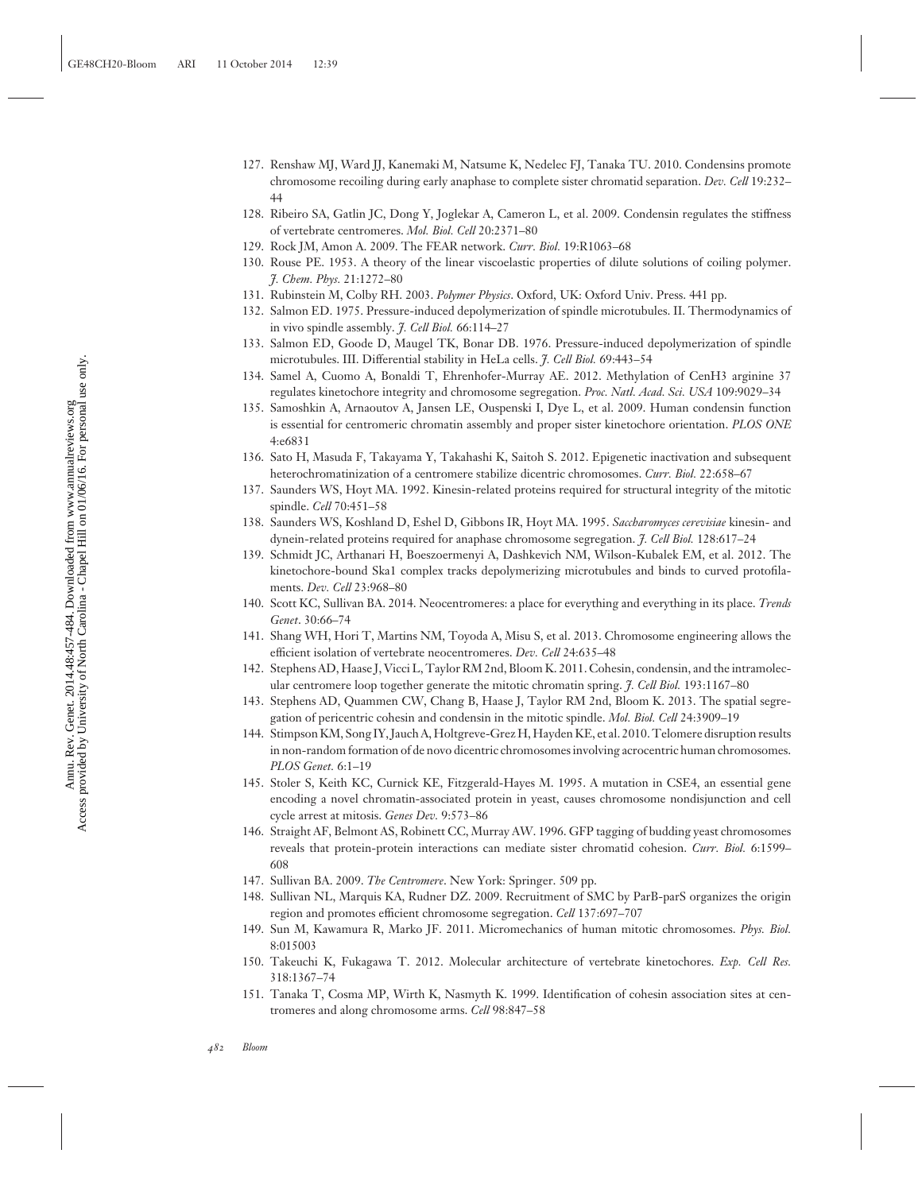- 127. Renshaw MJ, Ward JJ, Kanemaki M, Natsume K, Nedelec FJ, Tanaka TU. 2010. Condensins promote chromosome recoiling during early anaphase to complete sister chromatid separation. *Dev. Cell* 19:232– 44
- 128. Ribeiro SA, Gatlin JC, Dong Y, Joglekar A, Cameron L, et al. 2009. Condensin regulates the stiffness of vertebrate centromeres. *Mol. Biol. Cell* 20:2371–80
- 129. Rock JM, Amon A. 2009. The FEAR network. *Curr. Biol.* 19:R1063–68
- 130. Rouse PE. 1953. A theory of the linear viscoelastic properties of dilute solutions of coiling polymer. *J. Chem. Phys.* 21:1272–80
- 131. Rubinstein M, Colby RH. 2003. *Polymer Physics*. Oxford, UK: Oxford Univ. Press. 441 pp.
- 132. Salmon ED. 1975. Pressure-induced depolymerization of spindle microtubules. II. Thermodynamics of in vivo spindle assembly. *J. Cell Biol.* 66:114–27
- 133. Salmon ED, Goode D, Maugel TK, Bonar DB. 1976. Pressure-induced depolymerization of spindle microtubules. III. Differential stability in HeLa cells. *J. Cell Biol.* 69:443–54
- 134. Samel A, Cuomo A, Bonaldi T, Ehrenhofer-Murray AE. 2012. Methylation of CenH3 arginine 37 regulates kinetochore integrity and chromosome segregation. *Proc. Natl. Acad. Sci. USA* 109:9029–34
- 135. Samoshkin A, Arnaoutov A, Jansen LE, Ouspenski I, Dye L, et al. 2009. Human condensin function is essential for centromeric chromatin assembly and proper sister kinetochore orientation. *PLOS ONE* 4:e6831
- 136. Sato H, Masuda F, Takayama Y, Takahashi K, Saitoh S. 2012. Epigenetic inactivation and subsequent heterochromatinization of a centromere stabilize dicentric chromosomes. *Curr. Biol.* 22:658–67
- 137. Saunders WS, Hoyt MA. 1992. Kinesin-related proteins required for structural integrity of the mitotic spindle. *Cell* 70:451–58
- 138. Saunders WS, Koshland D, Eshel D, Gibbons IR, Hoyt MA. 1995. *Saccharomyces cerevisiae* kinesin- and dynein-related proteins required for anaphase chromosome segregation. *J. Cell Biol.* 128:617–24
- 139. Schmidt JC, Arthanari H, Boeszoermenyi A, Dashkevich NM, Wilson-Kubalek EM, et al. 2012. The kinetochore-bound Ska1 complex tracks depolymerizing microtubules and binds to curved protofilaments. *Dev. Cell* 23:968–80
- 140. Scott KC, Sullivan BA. 2014. Neocentromeres: a place for everything and everything in its place. *Trends Genet*. 30:66–74
- 141. Shang WH, Hori T, Martins NM, Toyoda A, Misu S, et al. 2013. Chromosome engineering allows the efficient isolation of vertebrate neocentromeres. *Dev. Cell* 24:635–48
- 142. Stephens AD, Haase J, Vicci L, Taylor RM 2nd, Bloom K. 2011. Cohesin, condensin, and the intramolecular centromere loop together generate the mitotic chromatin spring. *J. Cell Biol.* 193:1167–80
- 143. Stephens AD, Quammen CW, Chang B, Haase J, Taylor RM 2nd, Bloom K. 2013. The spatial segregation of pericentric cohesin and condensin in the mitotic spindle. *Mol. Biol. Cell* 24:3909–19
- 144. Stimpson KM, Song IY, Jauch A, Holtgreve-Grez H, Hayden KE, et al. 2010. Telomere disruption results in non-random formation of de novo dicentric chromosomes involving acrocentric human chromosomes. *PLOS Genet.* 6:1–19
- 145. Stoler S, Keith KC, Curnick KE, Fitzgerald-Hayes M. 1995. A mutation in CSE4, an essential gene encoding a novel chromatin-associated protein in yeast, causes chromosome nondisjunction and cell cycle arrest at mitosis. *Genes Dev.* 9:573–86
- 146. Straight AF, Belmont AS, Robinett CC, Murray AW. 1996. GFP tagging of budding yeast chromosomes reveals that protein-protein interactions can mediate sister chromatid cohesion. *Curr. Biol.* 6:1599– 608
- 147. Sullivan BA. 2009. *The Centromere*. New York: Springer. 509 pp.
- 148. Sullivan NL, Marquis KA, Rudner DZ. 2009. Recruitment of SMC by ParB-parS organizes the origin region and promotes efficient chromosome segregation. *Cell* 137:697–707
- 149. Sun M, Kawamura R, Marko JF. 2011. Micromechanics of human mitotic chromosomes. *Phys. Biol.* 8:015003
- 150. Takeuchi K, Fukagawa T. 2012. Molecular architecture of vertebrate kinetochores. *Exp. Cell Res.* 318:1367–74
- 151. Tanaka T, Cosma MP, Wirth K, Nasmyth K. 1999. Identification of cohesin association sites at centromeres and along chromosome arms. *Cell* 98:847–58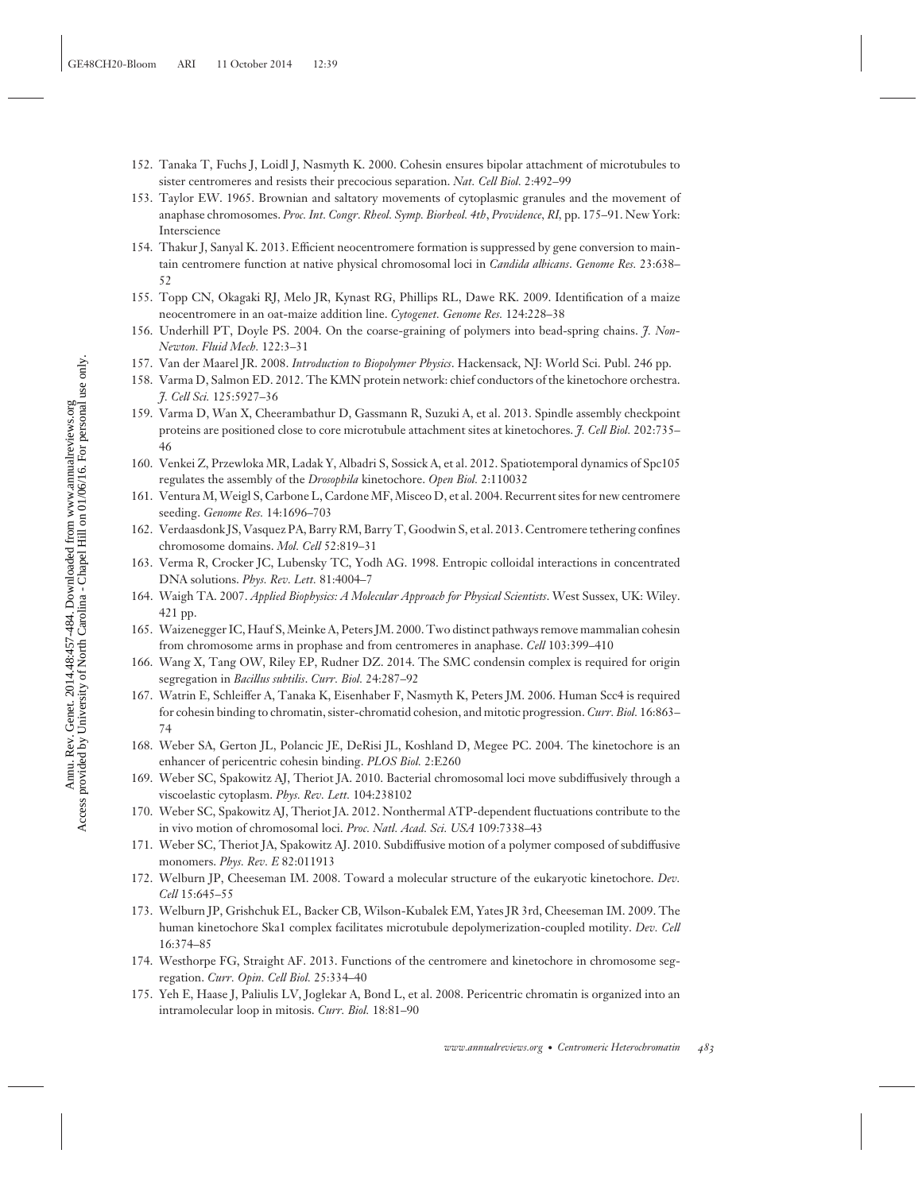- 152. Tanaka T, Fuchs J, Loidl J, Nasmyth K. 2000. Cohesin ensures bipolar attachment of microtubules to sister centromeres and resists their precocious separation. *Nat. Cell Biol.* 2:492–99
- 153. Taylor EW. 1965. Brownian and saltatory movements of cytoplasmic granules and the movement of anaphase chromosomes. *Proc. Int. Congr. Rheol. Symp. Biorheol. 4th*, *Providence, RI,* pp. 175–91. New York: **Interscience**
- 154. Thakur J, Sanyal K. 2013. Efficient neocentromere formation is suppressed by gene conversion to maintain centromere function at native physical chromosomal loci in *Candida albicans*. *Genome Res.* 23:638– 52
- 155. Topp CN, Okagaki RJ, Melo JR, Kynast RG, Phillips RL, Dawe RK. 2009. Identification of a maize neocentromere in an oat-maize addition line. *Cytogenet. Genome Res.* 124:228–38
- 156. Underhill PT, Doyle PS. 2004. On the coarse-graining of polymers into bead-spring chains. *J. Non-Newton. Fluid Mech.* 122:3–31
- 157. Van der Maarel JR. 2008. *Introduction to Biopolymer Physics*. Hackensack, NJ: World Sci. Publ. 246 pp.
- 158. Varma D, Salmon ED. 2012. The KMN protein network: chief conductors of the kinetochore orchestra. *J. Cell Sci.* 125:5927–36
- 159. Varma D, Wan X, Cheerambathur D, Gassmann R, Suzuki A, et al. 2013. Spindle assembly checkpoint proteins are positioned close to core microtubule attachment sites at kinetochores. *J. Cell Biol.* 202:735– 46
- 160. Venkei Z, Przewloka MR, Ladak Y, Albadri S, Sossick A, et al. 2012. Spatiotemporal dynamics of Spc105 regulates the assembly of the *Drosophila* kinetochore. *Open Biol.* 2:110032
- 161. Ventura M,Weigl S, Carbone L, Cardone MF, Misceo D, et al. 2004. Recurrent sites for new centromere seeding. *Genome Res.* 14:1696–703
- 162. Verdaasdonk JS, Vasquez PA, Barry RM, Barry T, Goodwin S, et al. 2013. Centromere tethering confines chromosome domains. *Mol. Cell* 52:819–31
- 163. Verma R, Crocker JC, Lubensky TC, Yodh AG. 1998. Entropic colloidal interactions in concentrated DNA solutions. *Phys. Rev. Lett.* 81:4004–7
- 164. Waigh TA. 2007. *Applied Biophysics: A Molecular Approach for Physical Scientists*. West Sussex, UK: Wiley. 421 pp.
- 165. Waizenegger IC, Hauf S, Meinke A, Peters JM. 2000. Two distinct pathways remove mammalian cohesin from chromosome arms in prophase and from centromeres in anaphase. *Cell* 103:399–410
- 166. Wang X, Tang OW, Riley EP, Rudner DZ. 2014. The SMC condensin complex is required for origin segregation in *Bacillus subtilis*. *Curr. Biol.* 24:287–92
- 167. Watrin E, Schleiffer A, Tanaka K, Eisenhaber F, Nasmyth K, Peters JM. 2006. Human Scc4 is required for cohesin binding to chromatin, sister-chromatid cohesion, and mitotic progression. *Curr. Biol.* 16:863– 74
- 168. Weber SA, Gerton JL, Polancic JE, DeRisi JL, Koshland D, Megee PC. 2004. The kinetochore is an enhancer of pericentric cohesin binding. *PLOS Biol.* 2:E260
- 169. Weber SC, Spakowitz AJ, Theriot JA. 2010. Bacterial chromosomal loci move subdiffusively through a viscoelastic cytoplasm. *Phys. Rev. Lett.* 104:238102
- 170. Weber SC, Spakowitz AJ, Theriot JA. 2012. Nonthermal ATP-dependent fluctuations contribute to the in vivo motion of chromosomal loci. *Proc. Natl. Acad. Sci. USA* 109:7338–43
- 171. Weber SC, Theriot JA, Spakowitz AJ. 2010. Subdiffusive motion of a polymer composed of subdiffusive monomers. *Phys. Rev. E* 82:011913
- 172. Welburn JP, Cheeseman IM. 2008. Toward a molecular structure of the eukaryotic kinetochore. *Dev. Cell* 15:645–55
- 173. Welburn JP, Grishchuk EL, Backer CB, Wilson-Kubalek EM, Yates JR 3rd, Cheeseman IM. 2009. The human kinetochore Ska1 complex facilitates microtubule depolymerization-coupled motility. *Dev. Cell* 16:374–85
- 174. Westhorpe FG, Straight AF. 2013. Functions of the centromere and kinetochore in chromosome segregation. *Curr. Opin. Cell Biol.* 25:334–40
- 175. Yeh E, Haase J, Paliulis LV, Joglekar A, Bond L, et al. 2008. Pericentric chromatin is organized into an intramolecular loop in mitosis. *Curr. Biol.* 18:81–90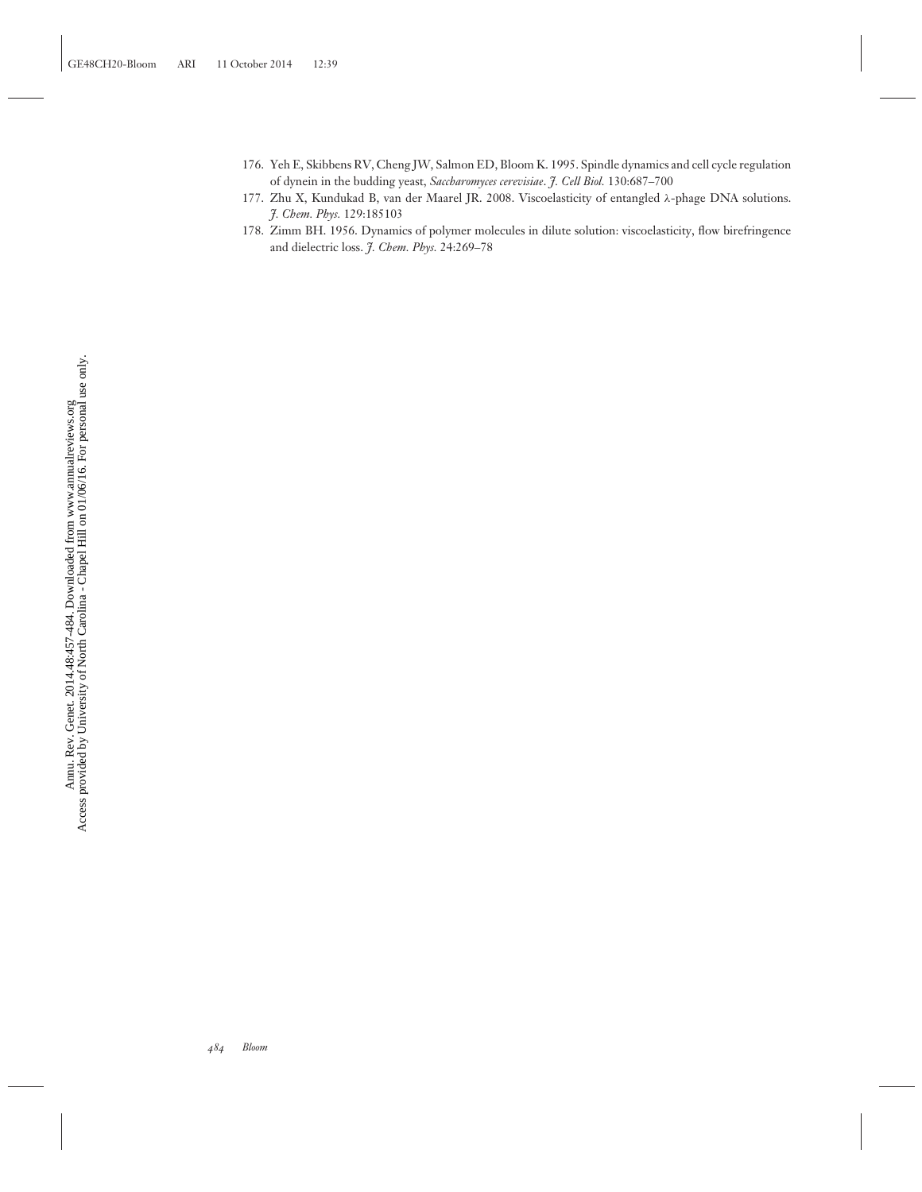- 176. Yeh E, Skibbens RV, Cheng JW, Salmon ED, Bloom K. 1995. Spindle dynamics and cell cycle regulation of dynein in the budding yeast, *Saccharomyces cerevisiae*. *J. Cell Biol.* 130:687–700
- 177. Zhu X, Kundukad B, van der Maarel JR. 2008. Viscoelasticity of entangled λ-phage DNA solutions. *J. Chem. Phys.* 129:185103
- 178. Zimm BH. 1956. Dynamics of polymer molecules in dilute solution: viscoelasticity, flow birefringence and dielectric loss. *J. Chem. Phys.* 24:269–78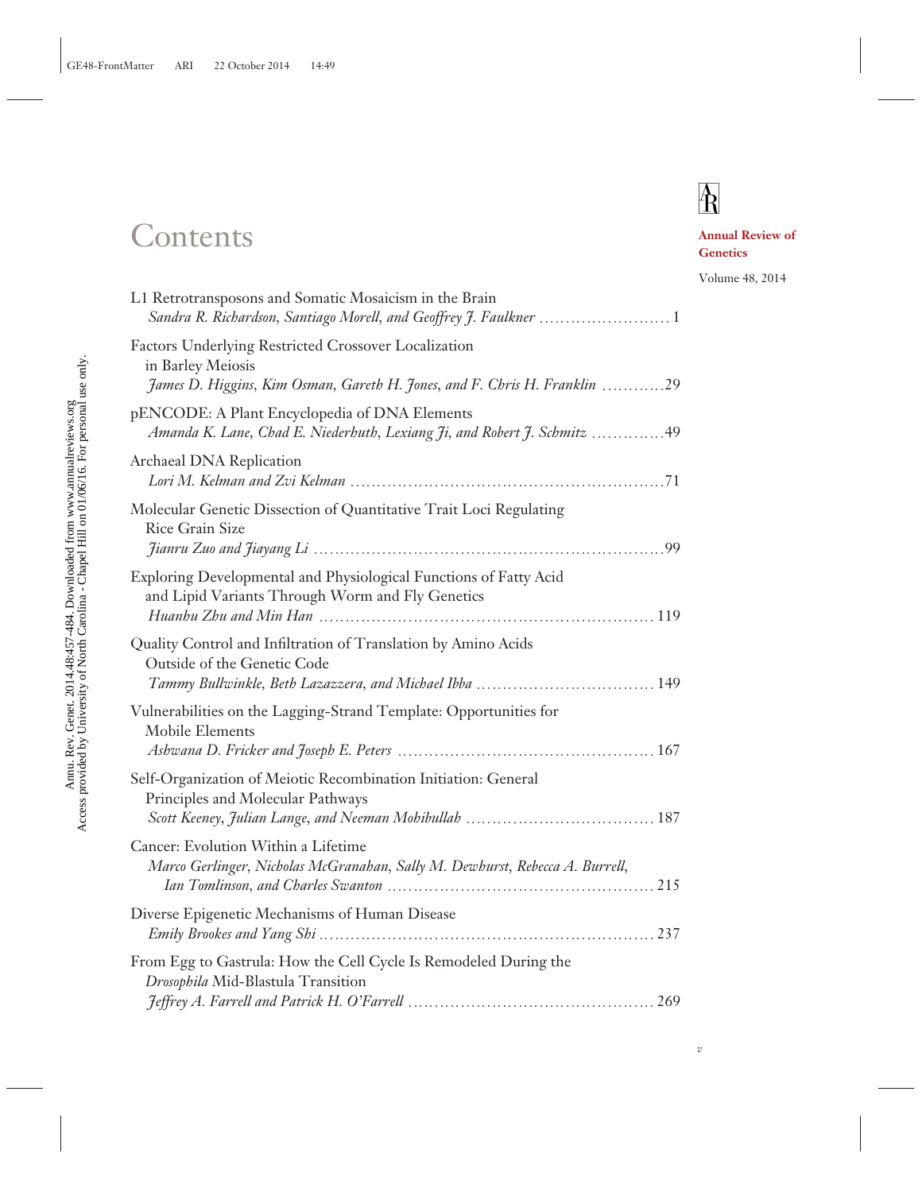# **Contents**

*v*

**Annual Review of Genetics**

| L1 Retrotransposons and Somatic Mosaicism in the Brain                                                                                                 |
|--------------------------------------------------------------------------------------------------------------------------------------------------------|
| Factors Underlying Restricted Crossover Localization<br>in Barley Meiosis<br>James D. Higgins, Kim Osman, Gareth H. Jones, and F. Chris H. Franklin 29 |
| pENCODE: A Plant Encyclopedia of DNA Elements<br>Amanda K. Lane, Chad E. Niederhuth, Lexiang Ji, and Robert J. Schmitz 49                              |
| Archaeal DNA Replication                                                                                                                               |
| Molecular Genetic Dissection of Quantitative Trait Loci Regulating<br><b>Rice Grain Size</b>                                                           |
| Exploring Developmental and Physiological Functions of Fatty Acid<br>and Lipid Variants Through Worm and Fly Genetics                                  |
| Quality Control and Infiltration of Translation by Amino Acids<br>Outside of the Genetic Code                                                          |
| Vulnerabilities on the Lagging-Strand Template: Opportunities for<br>Mobile Elements                                                                   |
| Self-Organization of Meiotic Recombination Initiation: General<br>Principles and Molecular Pathways                                                    |
| Cancer: Evolution Within a Lifetime<br>Marco Gerlinger, Nicholas McGranahan, Sally M. Dewhurst, Rebecca A. Burrell,                                    |
| Diverse Epigenetic Mechanisms of Human Disease                                                                                                         |
| From Egg to Gastrula: How the Cell Cycle Is Remodeled During the<br>Drosophila Mid-Blastula Transition                                                 |